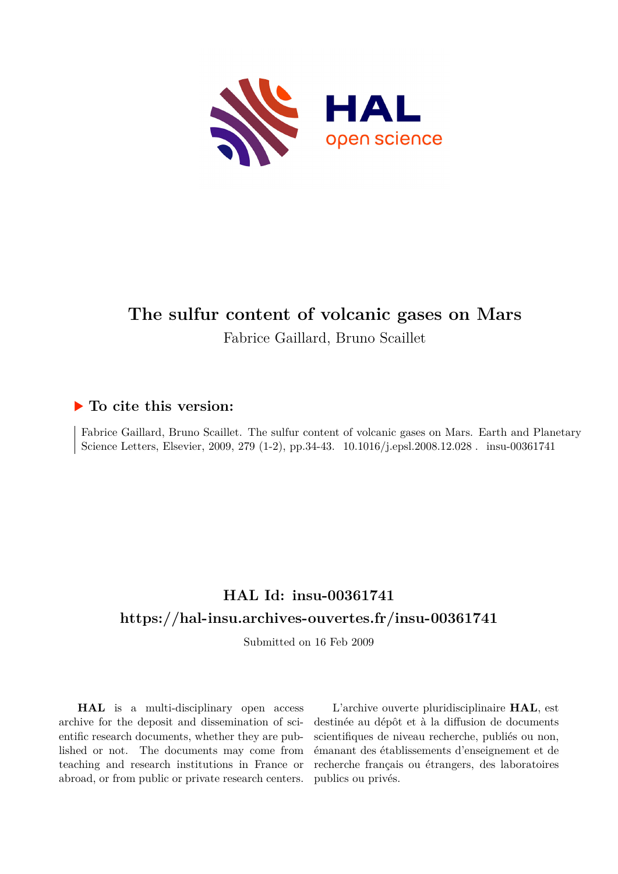

# **The sulfur content of volcanic gases on Mars** Fabrice Gaillard, Bruno Scaillet

### **To cite this version:**

Fabrice Gaillard, Bruno Scaillet. The sulfur content of volcanic gases on Mars. Earth and Planetary Science Letters, Elsevier, 2009, 279 (1-2), pp.34-43.  $10.1016/j.epsl.2008.12.028$ . insu-00361741

# **HAL Id: insu-00361741 <https://hal-insu.archives-ouvertes.fr/insu-00361741>**

Submitted on 16 Feb 2009

**HAL** is a multi-disciplinary open access archive for the deposit and dissemination of scientific research documents, whether they are published or not. The documents may come from teaching and research institutions in France or abroad, or from public or private research centers.

L'archive ouverte pluridisciplinaire **HAL**, est destinée au dépôt et à la diffusion de documents scientifiques de niveau recherche, publiés ou non, émanant des établissements d'enseignement et de recherche français ou étrangers, des laboratoires publics ou privés.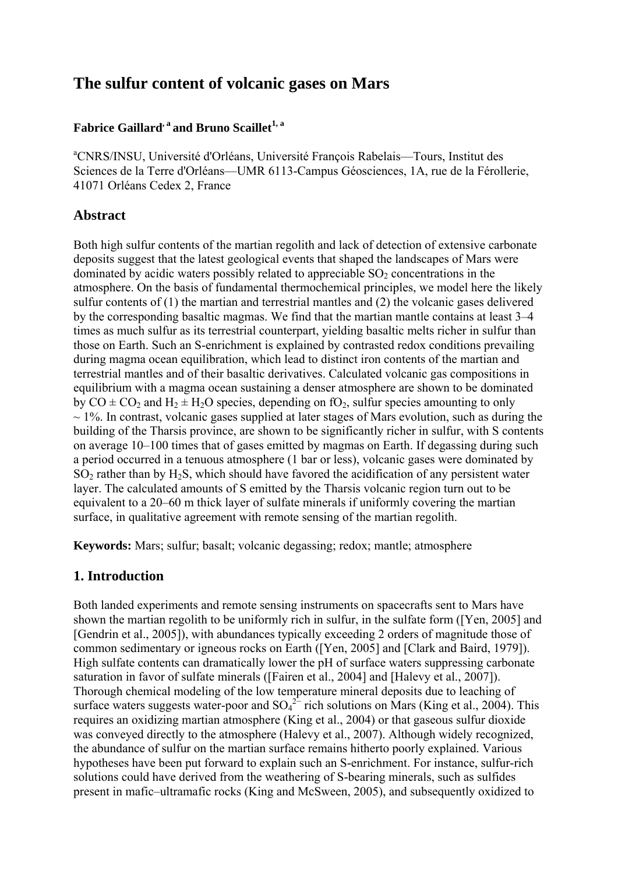# **The sulfur content of volcanic gases on Mars**

#### Fabrice Gaillard<sup>, a</sup> and Bruno Scaillet<sup>1, a</sup>

a CNRS/INSU, Université d'Orléans, Université François Rabelais—Tours, Institut des Sciences de la Terre d'Orléans—UMR 6113-Campus Géosciences, 1A, rue de la Férollerie, 41071 Orléans Cedex 2, France

#### **Abstract**

Both high sulfur contents of the martian regolith and lack of detection of extensive carbonate deposits suggest that the latest geological events that shaped the landscapes of Mars were dominated by acidic waters possibly related to appreciable  $SO<sub>2</sub>$  concentrations in the atmosphere. On the basis of fundamental thermochemical principles, we model here the likely sulfur contents of (1) the martian and terrestrial mantles and (2) the volcanic gases delivered by the corresponding basaltic magmas. We find that the martian mantle contains at least 3–4 times as much sulfur as its terrestrial counterpart, yielding basaltic melts richer in sulfur than those on Earth. Such an S-enrichment is explained by contrasted redox conditions prevailing during magma ocean equilibration, which lead to distinct iron contents of the martian and terrestrial mantles and of their basaltic derivatives. Calculated volcanic gas compositions in equilibrium with a magma ocean sustaining a denser atmosphere are shown to be dominated by  $CO \pm CO_2$  and  $H_2 \pm H_2O$  species, depending on fO<sub>2</sub>, sulfur species amounting to only  $\sim$  1%. In contrast, volcanic gases supplied at later stages of Mars evolution, such as during the building of the Tharsis province, are shown to be significantly richer in sulfur, with S contents on average 10–100 times that of gases emitted by magmas on Earth. If degassing during such a period occurred in a tenuous atmosphere (1 bar or less), volcanic gases were dominated by  $SO<sub>2</sub>$  rather than by H<sub>2</sub>S, which should have favored the acidification of any persistent water layer. The calculated amounts of S emitted by the Tharsis volcanic region turn out to be equivalent to a 20–60 m thick layer of sulfate minerals if uniformly covering the martian surface, in qualitative agreement with remote sensing of the martian regolith.

**Keywords:** Mars; sulfur; basalt; volcanic degassing; redox; mantle; atmosphere

### **1. Introduction**

Both landed experiments and remote sensing instruments on spacecrafts sent to Mars have shown the martian regolith to be uniformly rich in sulfur, in the sulfate form ([Yen, 2005] and [Gendrin et al., 2005]), with abundances typically exceeding 2 orders of magnitude those of common sedimentary or igneous rocks on Earth ([Yen, 2005] and [Clark and Baird, 1979]). High sulfate contents can dramatically lower the pH of surface waters suppressing carbonate saturation in favor of sulfate minerals ([Fairen et al., 2004] and [Halevy et al., 2007]). Thorough chemical modeling of the low temperature mineral deposits due to leaching of surface waters suggests water-poor and  $SO_4^2$  rich solutions on Mars (King et al., 2004). This requires an oxidizing martian atmosphere (King et al., 2004) or that gaseous sulfur dioxide was conveyed directly to the atmosphere (Halevy et al., 2007). Although widely recognized, the abundance of sulfur on the martian surface remains hitherto poorly explained. Various hypotheses have been put forward to explain such an S-enrichment. For instance, sulfur-rich solutions could have derived from the weathering of S-bearing minerals, such as sulfides present in mafic–ultramafic rocks (King and McSween, 2005), and subsequently oxidized to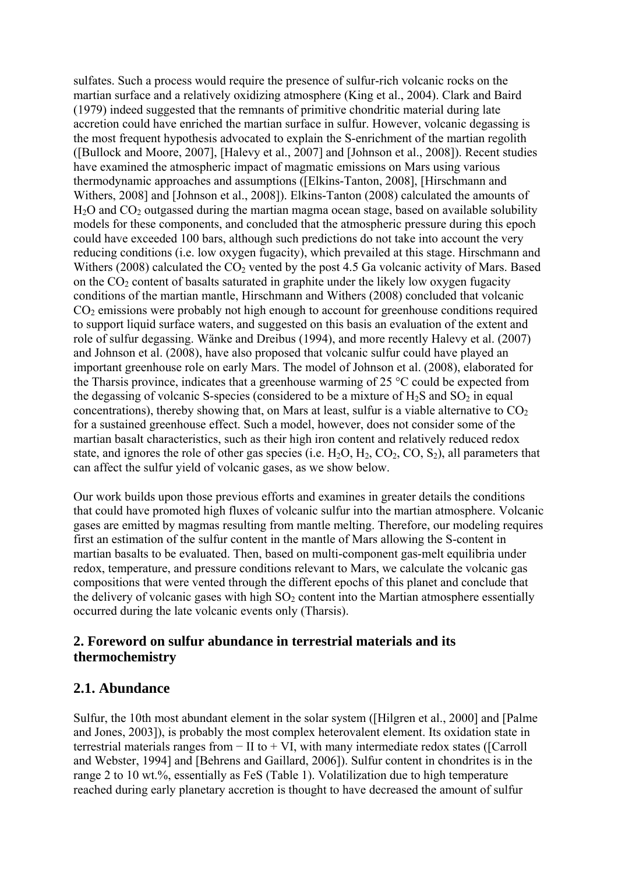sulfates. Such a process would require the presence of sulfur-rich volcanic rocks on the martian surface and a relatively oxidizing atmosphere (King et al., 2004). Clark and Baird (1979) indeed suggested that the remnants of primitive chondritic material during late accretion could have enriched the martian surface in sulfur. However, volcanic degassing is the most frequent hypothesis advocated to explain the S-enrichment of the martian regolith ([Bullock and Moore, 2007], [Halevy et al., 2007] and [Johnson et al., 2008]). Recent studies have examined the atmospheric impact of magmatic emissions on Mars using various thermodynamic approaches and assumptions ([Elkins-Tanton, 2008], [Hirschmann and Withers, 2008] and [Johnson et al., 2008]). Elkins-Tanton (2008) calculated the amounts of  $H<sub>2</sub>O$  and  $CO<sub>2</sub>$  outgassed during the martian magma ocean stage, based on available solubility models for these components, and concluded that the atmospheric pressure during this epoch could have exceeded 100 bars, although such predictions do not take into account the very reducing conditions (i.e. low oxygen fugacity), which prevailed at this stage. Hirschmann and Withers (2008) calculated the  $CO<sub>2</sub>$  vented by the post 4.5 Ga volcanic activity of Mars. Based on the  $CO<sub>2</sub>$  content of basalts saturated in graphite under the likely low oxygen fugacity conditions of the martian mantle, Hirschmann and Withers (2008) concluded that volcanic CO2 emissions were probably not high enough to account for greenhouse conditions required to support liquid surface waters, and suggested on this basis an evaluation of the extent and role of sulfur degassing. Wänke and Dreibus (1994), and more recently Halevy et al. (2007) and Johnson et al. (2008), have also proposed that volcanic sulfur could have played an important greenhouse role on early Mars. The model of Johnson et al. (2008), elaborated for the Tharsis province, indicates that a greenhouse warming of 25 °C could be expected from the degassing of volcanic S-species (considered to be a mixture of  $H_2S$  and  $SO_2$  in equal concentrations), thereby showing that, on Mars at least, sulfur is a viable alternative to  $CO<sub>2</sub>$ for a sustained greenhouse effect. Such a model, however, does not consider some of the martian basalt characteristics, such as their high iron content and relatively reduced redox state, and ignores the role of other gas species (i.e.  $H_2O$ ,  $H_2$ ,  $CO_2$ ,  $CO$ ,  $S_2$ ), all parameters that can affect the sulfur yield of volcanic gases, as we show below.

Our work builds upon those previous efforts and examines in greater details the conditions that could have promoted high fluxes of volcanic sulfur into the martian atmosphere. Volcanic gases are emitted by magmas resulting from mantle melting. Therefore, our modeling requires first an estimation of the sulfur content in the mantle of Mars allowing the S-content in martian basalts to be evaluated. Then, based on multi-component gas-melt equilibria under redox, temperature, and pressure conditions relevant to Mars, we calculate the volcanic gas compositions that were vented through the different epochs of this planet and conclude that the delivery of volcanic gases with high  $SO<sub>2</sub>$  content into the Martian atmosphere essentially occurred during the late volcanic events only (Tharsis).

### **2. Foreword on sulfur abundance in terrestrial materials and its thermochemistry**

### **2.1. Abundance**

Sulfur, the 10th most abundant element in the solar system ([Hilgren et al., 2000] and [Palme and Jones, 2003]), is probably the most complex heterovalent element. Its oxidation state in terrestrial materials ranges from − II to + VI, with many intermediate redox states ([Carroll and Webster, 1994] and [Behrens and Gaillard, 2006]). Sulfur content in chondrites is in the range 2 to 10 wt.%, essentially as FeS (Table 1). Volatilization due to high temperature reached during early planetary accretion is thought to have decreased the amount of sulfur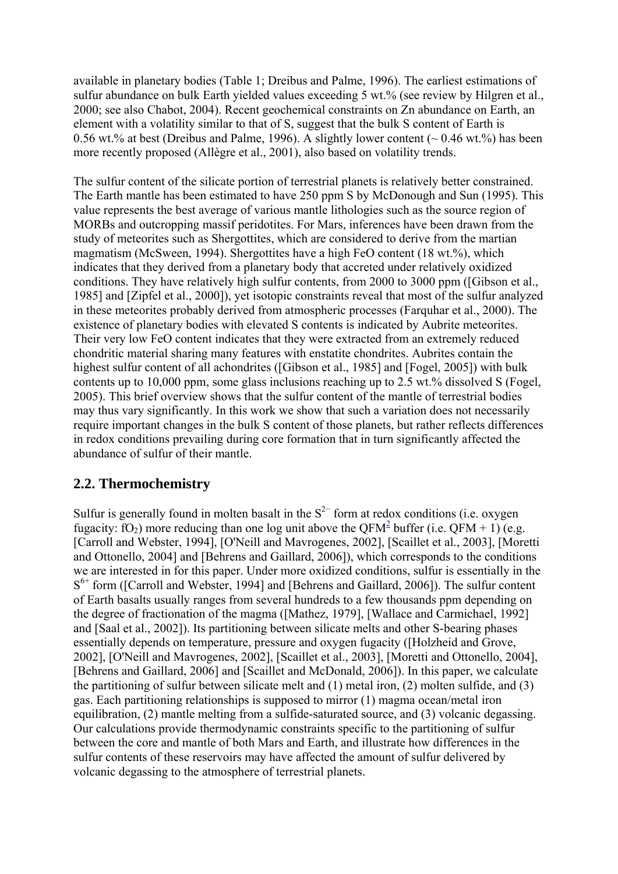available in planetary bodies (Table 1; Dreibus and Palme, 1996). The earliest estimations of sulfur abundance on bulk Earth yielded values exceeding 5 wt.% (see review by Hilgren et al., 2000; see also Chabot, 2004). Recent geochemical constraints on Zn abundance on Earth, an element with a volatility similar to that of S, suggest that the bulk S content of Earth is 0.56 wt.% at best (Dreibus and Palme, 1996). A slightly lower content  $($   $\sim$  0.46 wt.%) has been more recently proposed (Allègre et al., 2001), also based on volatility trends.

The sulfur content of the silicate portion of terrestrial planets is relatively better constrained. The Earth mantle has been estimated to have 250 ppm S by McDonough and Sun (1995). This value represents the best average of various mantle lithologies such as the source region of MORBs and outcropping massif peridotites. For Mars, inferences have been drawn from the study of meteorites such as Shergottites, which are considered to derive from the martian magmatism (McSween, 1994). Shergottites have a high FeO content (18 wt.%), which indicates that they derived from a planetary body that accreted under relatively oxidized conditions. They have relatively high sulfur contents, from 2000 to 3000 ppm ([Gibson et al., 1985] and [Zipfel et al., 2000]), yet isotopic constraints reveal that most of the sulfur analyzed in these meteorites probably derived from atmospheric processes (Farquhar et al., 2000). The existence of planetary bodies with elevated S contents is indicated by Aubrite meteorites. Their very low FeO content indicates that they were extracted from an extremely reduced chondritic material sharing many features with enstatite chondrites. Aubrites contain the highest sulfur content of all achondrites ([Gibson et al., 1985] and [Fogel, 2005]) with bulk contents up to 10,000 ppm, some glass inclusions reaching up to 2.5 wt.% dissolved S (Fogel, 2005). This brief overview shows that the sulfur content of the mantle of terrestrial bodies may thus vary significantly. In this work we show that such a variation does not necessarily require important changes in the bulk S content of those planets, but rather reflects differences in redox conditions prevailing during core formation that in turn significantly affected the abundance of sulfur of their mantle.

## **2.2. Thermochemistry**

Sulfur is generally found in molten basalt in the  $S<sup>2−</sup>$  form at redox conditions (i.e. oxygen fugacity: fO<sub>2</sub>) more reducing than one log unit above the QFM<sup>2</sup> buffer (i.e. QFM + 1) (e.g. [Carroll and Webster, 1994], [O'Neill and Mavrogenes, 2002], [Scaillet et al., 2003], [Moretti and Ottonello, 2004] and [Behrens and Gaillard, 2006]), which corresponds to the conditions we are interested in for this paper. Under more oxidized conditions, sulfur is essentially in the  $S^{6+}$  form ([Carroll and Webster, 1994] and [Behrens and Gaillard, 2006]). The sulfur content of Earth basalts usually ranges from several hundreds to a few thousands ppm depending on the degree of fractionation of the magma ([Mathez, 1979], [Wallace and Carmichael, 1992] and [Saal et al., 2002]). Its partitioning between silicate melts and other S-bearing phases essentially depends on temperature, pressure and oxygen fugacity ([Holzheid and Grove, 2002], [O'Neill and Mavrogenes, 2002], [Scaillet et al., 2003], [Moretti and Ottonello, 2004], [Behrens and Gaillard, 2006] and [Scaillet and McDonald, 2006]). In this paper, we calculate the partitioning of sulfur between silicate melt and (1) metal iron, (2) molten sulfide, and (3) gas. Each partitioning relationships is supposed to mirror (1) magma ocean/metal iron equilibration, (2) mantle melting from a sulfide-saturated source, and (3) volcanic degassing. Our calculations provide thermodynamic constraints specific to the partitioning of sulfur between the core and mantle of both Mars and Earth, and illustrate how differences in the sulfur contents of these reservoirs may have affected the amount of sulfur delivered by volcanic degassing to the atmosphere of terrestrial planets.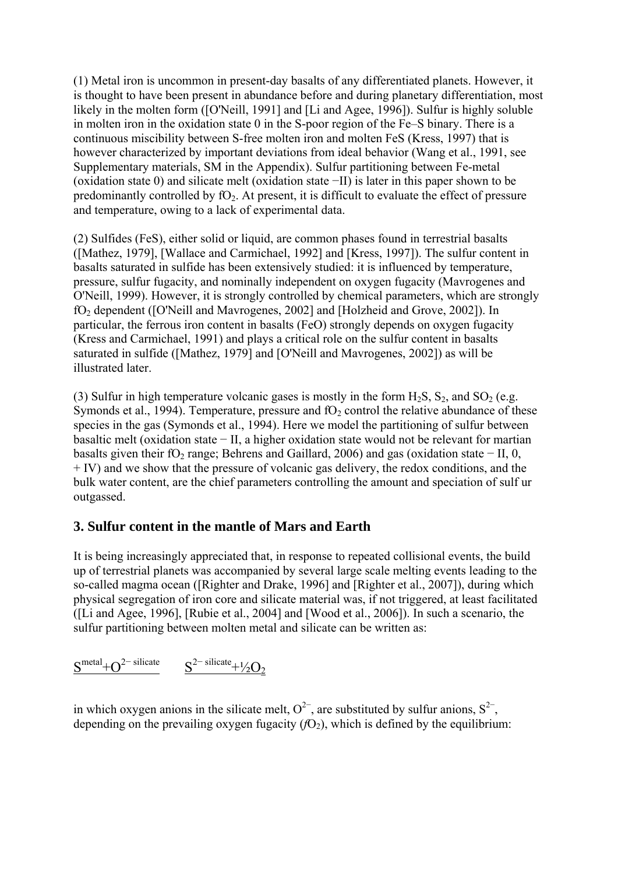(1) Metal iron is uncommon in present-day basalts of any differentiated planets. However, it is thought to have been present in abundance before and during planetary differentiation, most likely in the molten form ([O'Neill, 1991] and [Li and Agee, 1996]). Sulfur is highly soluble in molten iron in the oxidation state 0 in the S-poor region of the Fe–S binary. There is a continuous miscibility between S-free molten iron and molten FeS (Kress, 1997) that is however characterized by important deviations from ideal behavior (Wang et al., 1991, see Supplementary materials, SM in the Appendix). Sulfur partitioning between Fe-metal (oxidation state 0) and silicate melt (oxidation state −II) is later in this paper shown to be predominantly controlled by  $fO_2$ . At present, it is difficult to evaluate the effect of pressure and temperature, owing to a lack of experimental data.

(2) Sulfides (FeS), either solid or liquid, are common phases found in terrestrial basalts ([Mathez, 1979], [Wallace and Carmichael, 1992] and [Kress, 1997]). The sulfur content in basalts saturated in sulfide has been extensively studied: it is influenced by temperature, pressure, sulfur fugacity, and nominally independent on oxygen fugacity (Mavrogenes and O'Neill, 1999). However, it is strongly controlled by chemical parameters, which are strongly fO2 dependent ([O'Neill and Mavrogenes, 2002] and [Holzheid and Grove, 2002]). In particular, the ferrous iron content in basalts (FeO) strongly depends on oxygen fugacity (Kress and Carmichael, 1991) and plays a critical role on the sulfur content in basalts saturated in sulfide ([Mathez, 1979] and [O'Neill and Mavrogenes, 2002]) as will be illustrated later.

(3) Sulfur in high temperature volcanic gases is mostly in the form  $H_2S$ ,  $S_2$ , and  $SO_2$  (e.g. Symonds et al., 1994). Temperature, pressure and  $fO<sub>2</sub>$  control the relative abundance of these species in the gas (Symonds et al., 1994). Here we model the partitioning of sulfur between basaltic melt (oxidation state − II, a higher oxidation state would not be relevant for martian basalts given their fO<sub>2</sub> range; Behrens and Gaillard, 2006) and gas (oxidation state – II, 0, + IV) and we show that the pressure of volcanic gas delivery, the redox conditions, and the bulk water content, are the chief parameters controlling the amount and speciation of sulf ur outgassed.

### **3. Sulfur content in the mantle of Mars and Earth**

It is being increasingly appreciated that, in response to repeated collisional events, the build up of terrestrial planets was accompanied by several large scale melting events leading to the so-called magma ocean ([Righter and Drake, 1996] and [Righter et al., 2007]), during which physical segregation of iron core and silicate material was, if not triggered, at least facilitated ([Li and Agee, 1996], [Rubie et al., 2004] and [Wood et al., 2006]). In such a scenario, the sulfur partitioning between molten metal and silicate can be written as:

$$
\underline{S^{metal}+O^{2-silicate}} \qquad \underline{S^{2-silicate}+1/2O_2}
$$

in which oxygen anions in the silicate melt,  $O^{2-}$ , are substituted by sulfur anions,  $S^{2-}$ , depending on the prevailing oxygen fugacity  $(fQ_2)$ , which is defined by the equilibrium: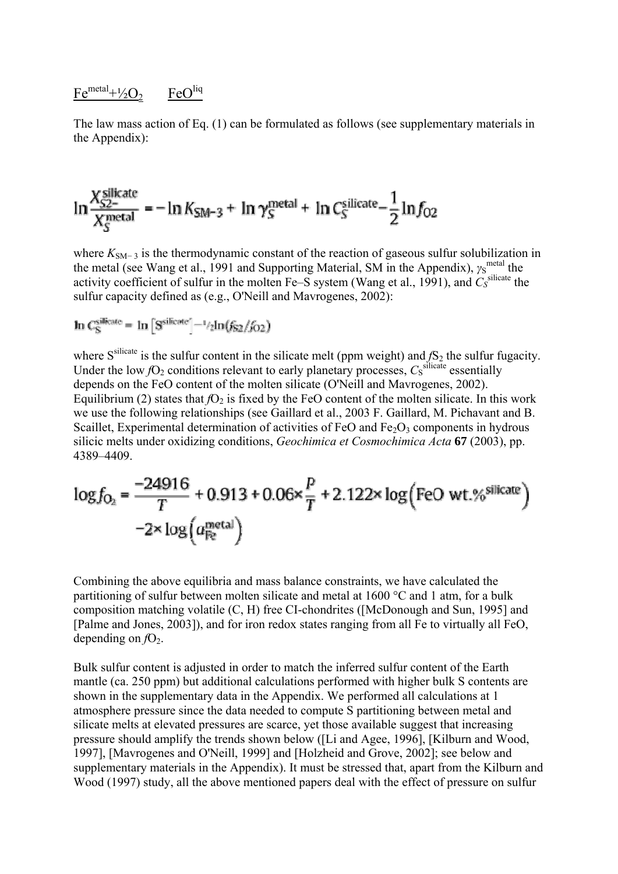## $Fe<sup>metal</sup>+<sup>1</sup>/<sub>2</sub>O<sub>2</sub>$  FeO<sup>liq</sup>

The law mass action of Eq. (1) can be formulated as follows (see supplementary materials in the Appendix):

$$
\ln \frac{X_{S2-}^{\text{silicate}}}{X_{S}^{\text{metal}}} = -\ln K_{\text{SM}-3} + \ln \gamma_{S}^{\text{metal}} + \ln C_{S}^{\text{silicate}} - \frac{1}{2} \ln f_{02}
$$

where  $K_{SM-3}$  is the thermodynamic constant of the reaction of gaseous sulfur solubilization in the metal (see Wang et al., 1991 and Supporting Material, SM in the Appendix), *γ*<sub>S</sub><sup>metal</sup> the activity coefficient of sulfur in the molten Fe–S system (Wang et al., 1991), and  $C_S^{\text{silicate}}$  the sulfur capacity defined as (e.g., O'Neill and Mavrogenes, 2002):

$$
\ln C_{S}^{\text{silicate}} = \ln \left[ S^{\text{silicate}} \right]^{-1} /_{2} \ln (f_{S2} / f_{O2})
$$

where  $S<sup>silicate</sup>$  is the sulfur content in the silicate melt (ppm weight) and  $fS<sub>2</sub>$  the sulfur fugacity. Under the low  $fO_2$  conditions relevant to early planetary processes,  $C_S$ <sup>silicate</sup> essentially depends on the FeO content of the molten silicate (O'Neill and Mavrogenes, 2002). Equilibrium (2) states that  $fO_2$  is fixed by the FeO content of the molten silicate. In this work we use the following relationships (see Gaillard et al., 2003 F. Gaillard, M. Pichavant and B. Scaillet, Experimental determination of activities of FeO and  $Fe<sub>2</sub>O<sub>3</sub>$  components in hydrous silicic melts under oxidizing conditions, *Geochimica et Cosmochimica Acta* **67** (2003), pp. 4389–4409.

$$
\log f_{\text{O}_2} = \frac{-24916}{T} + 0.913 + 0.06 \times \frac{P}{T} + 2.122 \times \log(\text{FeO wt. %}^{\text{silicate}})
$$
  
-2×  $\log(a_{\text{Fe}}^{\text{metal}})$ 

Combining the above equilibria and mass balance constraints, we have calculated the partitioning of sulfur between molten silicate and metal at 1600 °C and 1 atm, for a bulk composition matching volatile (C, H) free CI-chondrites ([McDonough and Sun, 1995] and [Palme and Jones, 2003]), and for iron redox states ranging from all Fe to virtually all FeO, depending on  $fQ_2$ .

Bulk sulfur content is adjusted in order to match the inferred sulfur content of the Earth mantle (ca. 250 ppm) but additional calculations performed with higher bulk S contents are shown in the supplementary data in the Appendix. We performed all calculations at 1 atmosphere pressure since the data needed to compute S partitioning between metal and silicate melts at elevated pressures are scarce, yet those available suggest that increasing pressure should amplify the trends shown below ([Li and Agee, 1996], [Kilburn and Wood, 1997], [Mavrogenes and O'Neill, 1999] and [Holzheid and Grove, 2002]; see below and supplementary materials in the Appendix). It must be stressed that, apart from the Kilburn and Wood (1997) study, all the above mentioned papers deal with the effect of pressure on sulfur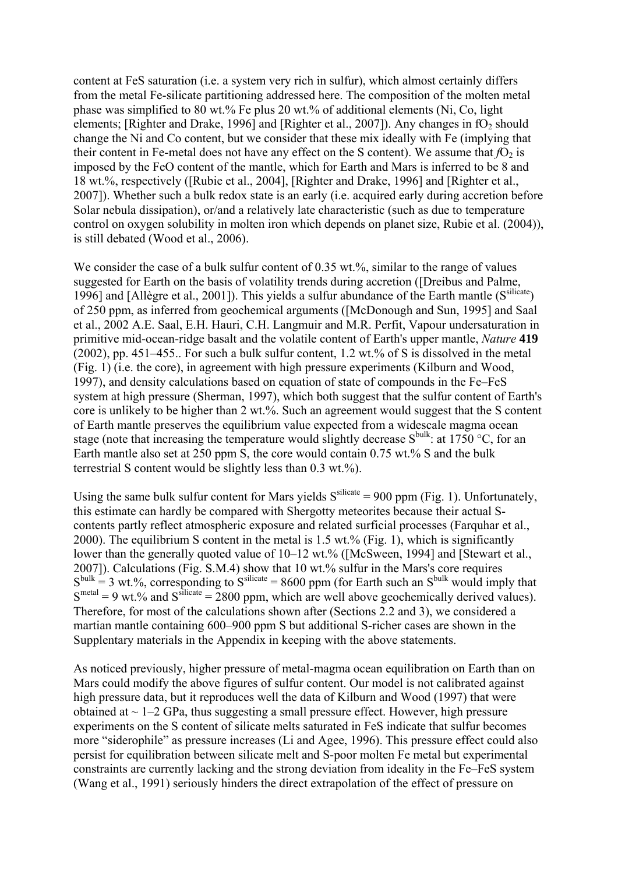content at FeS saturation (i.e. a system very rich in sulfur), which almost certainly differs from the metal Fe-silicate partitioning addressed here. The composition of the molten metal phase was simplified to 80 wt.% Fe plus 20 wt.% of additional elements (Ni, Co, light elements; [Righter and Drake, 1996] and [Righter et al., 2007]). Any changes in  $fO<sub>2</sub>$  should change the Ni and Co content, but we consider that these mix ideally with Fe (implying that their content in Fe-metal does not have any effect on the S content). We assume that  $fO<sub>2</sub>$  is imposed by the FeO content of the mantle, which for Earth and Mars is inferred to be 8 and 18 wt.%, respectively ([Rubie et al., 2004], [Righter and Drake, 1996] and [Righter et al., 2007]). Whether such a bulk redox state is an early (i.e. acquired early during accretion before Solar nebula dissipation), or/and a relatively late characteristic (such as due to temperature control on oxygen solubility in molten iron which depends on planet size, Rubie et al. (2004)), is still debated (Wood et al., 2006).

We consider the case of a bulk sulfur content of 0.35 wt.%, similar to the range of values suggested for Earth on the basis of volatility trends during accretion ([Dreibus and Palme, 1996] and [Allègre et al., 2001]). This yields a sulfur abundance of the Earth mantle (S<sup>silicate</sup>) of 250 ppm, as inferred from geochemical arguments ([McDonough and Sun, 1995] and Saal et al., 2002 A.E. Saal, E.H. Hauri, C.H. Langmuir and M.R. Perfit, Vapour undersaturation in primitive mid-ocean-ridge basalt and the volatile content of Earth's upper mantle, *Nature* **419** (2002), pp. 451–455.. For such a bulk sulfur content, 1.2 wt.% of S is dissolved in the metal (Fig. 1) (i.e. the core), in agreement with high pressure experiments (Kilburn and Wood, 1997), and density calculations based on equation of state of compounds in the Fe–FeS system at high pressure (Sherman, 1997), which both suggest that the sulfur content of Earth's core is unlikely to be higher than 2 wt.%. Such an agreement would suggest that the S content of Earth mantle preserves the equilibrium value expected from a widescale magma ocean stage (note that increasing the temperature would slightly decrease  $S<sup>bulk</sup>$ : at 1750 °C, for an Earth mantle also set at 250 ppm S, the core would contain 0.75 wt.% S and the bulk terrestrial S content would be slightly less than 0.3 wt.%).

Using the same bulk sulfur content for Mars yields  $S<sup>silicate</sup> = 900$  ppm (Fig. 1). Unfortunately, this estimate can hardly be compared with Shergotty meteorites because their actual Scontents partly reflect atmospheric exposure and related surficial processes (Farquhar et al., 2000). The equilibrium S content in the metal is 1.5 wt.% (Fig. 1), which is significantly lower than the generally quoted value of 10–12 wt.% ([McSween, 1994] and [Stewart et al., 2007]). Calculations (Fig. S.M.4) show that 10 wt.% sulfur in the Mars's core requires  $S<sup>bulk</sup> = 3$  wt.%, corresponding to  $S<sup>silicate</sup> = 8600$  ppm (for Earth such an  $S<sup>bulk</sup>$  would imply that  $S<sup>metal</sup> = 9$  wt.% and  $S<sup>silicate</sup> = 2800$  ppm, which are well above geochemically derived values). Therefore, for most of the calculations shown after (Sections 2.2 and 3), we considered a martian mantle containing 600–900 ppm S but additional S-richer cases are shown in the Supplentary materials in the Appendix in keeping with the above statements.

As noticed previously, higher pressure of metal-magma ocean equilibration on Earth than on Mars could modify the above figures of sulfur content. Our model is not calibrated against high pressure data, but it reproduces well the data of Kilburn and Wood (1997) that were obtained at  $\sim$  1–2 GPa, thus suggesting a small pressure effect. However, high pressure experiments on the S content of silicate melts saturated in FeS indicate that sulfur becomes more "siderophile" as pressure increases (Li and Agee, 1996). This pressure effect could also persist for equilibration between silicate melt and S-poor molten Fe metal but experimental constraints are currently lacking and the strong deviation from ideality in the Fe–FeS system (Wang et al., 1991) seriously hinders the direct extrapolation of the effect of pressure on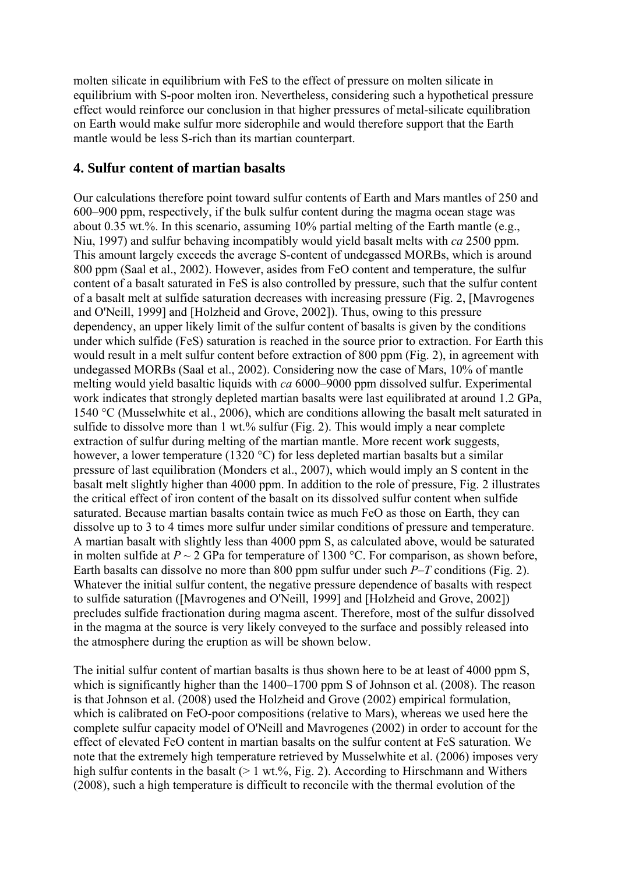molten silicate in equilibrium with FeS to the effect of pressure on molten silicate in equilibrium with S-poor molten iron. Nevertheless, considering such a hypothetical pressure effect would reinforce our conclusion in that higher pressures of metal-silicate equilibration on Earth would make sulfur more siderophile and would therefore support that the Earth mantle would be less S-rich than its martian counterpart.

### **4. Sulfur content of martian basalts**

Our calculations therefore point toward sulfur contents of Earth and Mars mantles of 250 and 600–900 ppm, respectively, if the bulk sulfur content during the magma ocean stage was about 0.35 wt.%. In this scenario, assuming 10% partial melting of the Earth mantle (e.g., Niu, 1997) and sulfur behaving incompatibly would yield basalt melts with *ca* 2500 ppm. This amount largely exceeds the average S-content of undegassed MORBs, which is around 800 ppm (Saal et al., 2002). However, asides from FeO content and temperature, the sulfur content of a basalt saturated in FeS is also controlled by pressure, such that the sulfur content of a basalt melt at sulfide saturation decreases with increasing pressure (Fig. 2, [Mavrogenes and O'Neill, 1999] and [Holzheid and Grove, 2002]). Thus, owing to this pressure dependency, an upper likely limit of the sulfur content of basalts is given by the conditions under which sulfide (FeS) saturation is reached in the source prior to extraction. For Earth this would result in a melt sulfur content before extraction of 800 ppm (Fig. 2), in agreement with undegassed MORBs (Saal et al., 2002). Considering now the case of Mars, 10% of mantle melting would yield basaltic liquids with *ca* 6000–9000 ppm dissolved sulfur. Experimental work indicates that strongly depleted martian basalts were last equilibrated at around 1.2 GPa, 1540 °C (Musselwhite et al., 2006), which are conditions allowing the basalt melt saturated in sulfide to dissolve more than 1 wt.% sulfur (Fig. 2). This would imply a near complete extraction of sulfur during melting of the martian mantle. More recent work suggests, however, a lower temperature (1320 °C) for less depleted martian basalts but a similar pressure of last equilibration (Monders et al., 2007), which would imply an S content in the basalt melt slightly higher than 4000 ppm. In addition to the role of pressure, Fig. 2 illustrates the critical effect of iron content of the basalt on its dissolved sulfur content when sulfide saturated. Because martian basalts contain twice as much FeO as those on Earth, they can dissolve up to 3 to 4 times more sulfur under similar conditions of pressure and temperature. A martian basalt with slightly less than 4000 ppm S, as calculated above, would be saturated in molten sulfide at  $P \sim 2$  GPa for temperature of 1300 °C. For comparison, as shown before, Earth basalts can dissolve no more than 800 ppm sulfur under such *P*–*T* conditions (Fig. 2). Whatever the initial sulfur content, the negative pressure dependence of basalts with respect to sulfide saturation ([Mavrogenes and O'Neill, 1999] and [Holzheid and Grove, 2002]) precludes sulfide fractionation during magma ascent. Therefore, most of the sulfur dissolved in the magma at the source is very likely conveyed to the surface and possibly released into the atmosphere during the eruption as will be shown below.

The initial sulfur content of martian basalts is thus shown here to be at least of 4000 ppm S, which is significantly higher than the 1400–1700 ppm S of Johnson et al. (2008). The reason is that Johnson et al. (2008) used the Holzheid and Grove (2002) empirical formulation, which is calibrated on FeO-poor compositions (relative to Mars), whereas we used here the complete sulfur capacity model of O'Neill and Mavrogenes (2002) in order to account for the effect of elevated FeO content in martian basalts on the sulfur content at FeS saturation. We note that the extremely high temperature retrieved by Musselwhite et al. (2006) imposes very high sulfur contents in the basalt ( $> 1$  wt.%, Fig. 2). According to Hirschmann and Withers (2008), such a high temperature is difficult to reconcile with the thermal evolution of the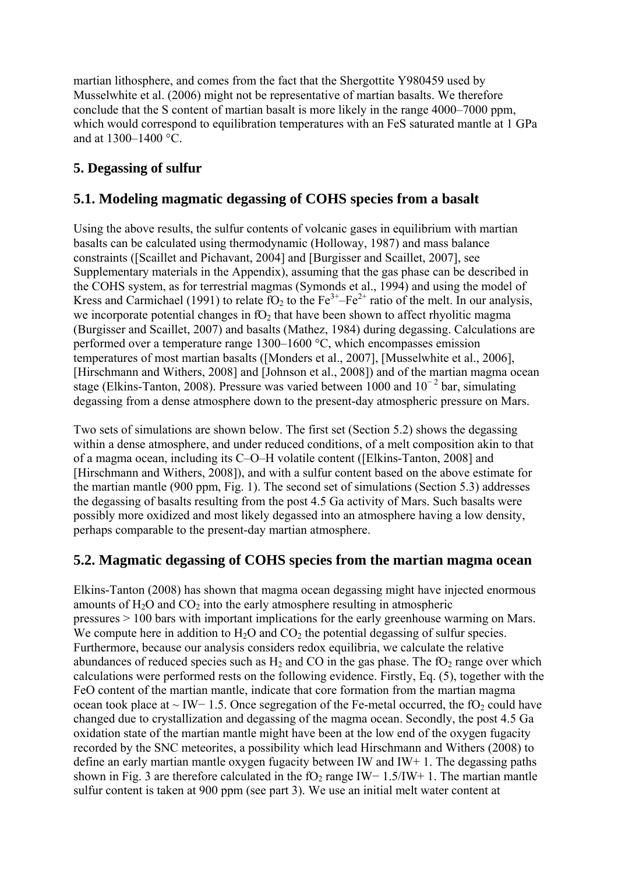martian lithosphere, and comes from the fact that the Shergottite Y980459 used by Musselwhite et al. (2006) might not be representative of martian basalts. We therefore conclude that the S content of martian basalt is more likely in the range 4000–7000 ppm, which would correspond to equilibration temperatures with an FeS saturated mantle at 1 GPa and at 1300–1400 °C.

### **5. Degassing of sulfur**

### **5.1. Modeling magmatic degassing of COHS species from a basalt**

Using the above results, the sulfur contents of volcanic gases in equilibrium with martian basalts can be calculated using thermodynamic (Holloway, 1987) and mass balance constraints ([Scaillet and Pichavant, 2004] and [Burgisser and Scaillet, 2007], see Supplementary materials in the Appendix), assuming that the gas phase can be described in the COHS system, as for terrestrial magmas (Symonds et al., 1994) and using the model of Kress and Carmichael (1991) to relate fO<sub>2</sub> to the Fe<sup>3+</sup>–Fe<sup>2+</sup> ratio of the melt. In our analysis, we incorporate potential changes in  $fO<sub>2</sub>$  that have been shown to affect rhyolitic magma (Burgisser and Scaillet, 2007) and basalts (Mathez, 1984) during degassing. Calculations are performed over a temperature range 1300–1600 °C, which encompasses emission temperatures of most martian basalts ([Monders et al., 2007], [Musselwhite et al., 2006], [Hirschmann and Withers, 2008] and [Johnson et al., 2008]) and of the martian magma ocean stage (Elkins-Tanton, 2008). Pressure was varied between 1000 and  $10^{-2}$  bar, simulating degassing from a dense atmosphere down to the present-day atmospheric pressure on Mars.

Two sets of simulations are shown below. The first set (Section 5.2) shows the degassing within a dense atmosphere, and under reduced conditions, of a melt composition akin to that of a magma ocean, including its C–O–H volatile content ([Elkins-Tanton, 2008] and [Hirschmann and Withers, 2008]), and with a sulfur content based on the above estimate for the martian mantle (900 ppm, Fig. 1). The second set of simulations (Section 5.3) addresses the degassing of basalts resulting from the post 4.5 Ga activity of Mars. Such basalts were possibly more oxidized and most likely degassed into an atmosphere having a low density, perhaps comparable to the present-day martian atmosphere.

### **5.2. Magmatic degassing of COHS species from the martian magma ocean**

Elkins-Tanton (2008) has shown that magma ocean degassing might have injected enormous amounts of  $H_2O$  and  $CO_2$  into the early atmosphere resulting in atmospheric pressures > 100 bars with important implications for the early greenhouse warming on Mars. We compute here in addition to  $H_2O$  and  $CO_2$  the potential degassing of sulfur species. Furthermore, because our analysis considers redox equilibria, we calculate the relative abundances of reduced species such as  $H_2$  and CO in the gas phase. The fO<sub>2</sub> range over which calculations were performed rests on the following evidence. Firstly, Eq. (5), together with the FeO content of the martian mantle, indicate that core formation from the martian magma ocean took place at ~ IW− 1.5. Once segregation of the Fe-metal occurred, the fO<sub>2</sub> could have changed due to crystallization and degassing of the magma ocean. Secondly, the post 4.5 Ga oxidation state of the martian mantle might have been at the low end of the oxygen fugacity recorded by the SNC meteorites, a possibility which lead Hirschmann and Withers (2008) to define an early martian mantle oxygen fugacity between IW and IW+ 1. The degassing paths shown in Fig. 3 are therefore calculated in the fO<sub>2</sub> range IW− 1.5/IW+ 1. The martian mantle sulfur content is taken at 900 ppm (see part 3). We use an initial melt water content at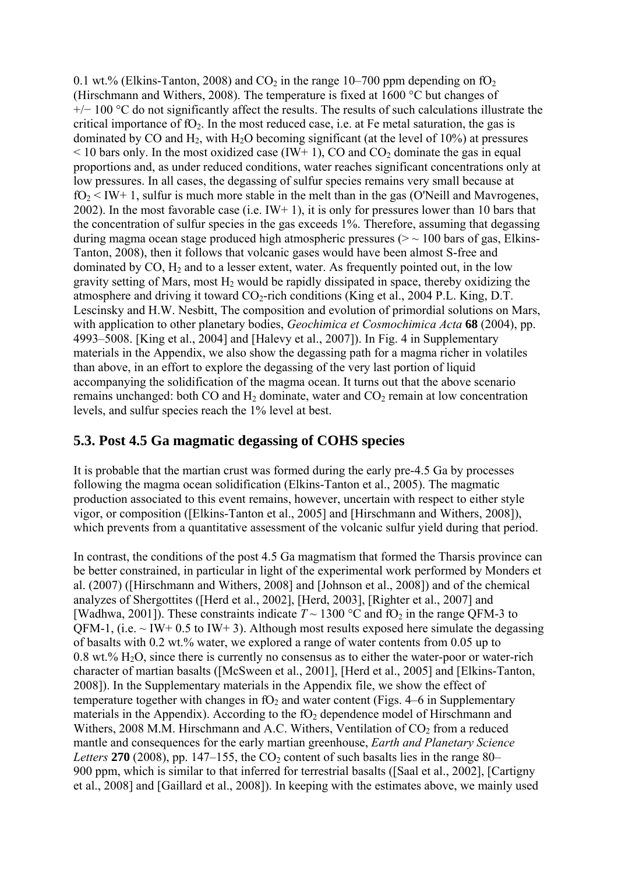0.1 wt.% (Elkins-Tanton, 2008) and  $CO<sub>2</sub>$  in the range 10–700 ppm depending on  $fO<sub>2</sub>$ (Hirschmann and Withers, 2008). The temperature is fixed at 1600 °C but changes of +/− 100 °C do not significantly affect the results. The results of such calculations illustrate the critical importance of fO<sub>2</sub>. In the most reduced case, i.e. at Fe metal saturation, the gas is dominated by CO and  $H_2$ , with  $H_2O$  becoming significant (at the level of 10%) at pressures  $\leq$  10 bars only. In the most oxidized case (IW+ 1), CO and CO<sub>2</sub> dominate the gas in equal proportions and, as under reduced conditions, water reaches significant concentrations only at low pressures. In all cases, the degassing of sulfur species remains very small because at  $fO<sub>2</sub> < IW+1$ , sulfur is much more stable in the melt than in the gas (O'Neill and Mavrogenes, 2002). In the most favorable case (i.e.  $IW+1$ ), it is only for pressures lower than 10 bars that the concentration of sulfur species in the gas exceeds 1%. Therefore, assuming that degassing during magma ocean stage produced high atmospheric pressures ( $>$   $\sim$  100 bars of gas, Elkins-Tanton, 2008), then it follows that volcanic gases would have been almost S-free and dominated by CO,  $H_2$  and to a lesser extent, water. As frequently pointed out, in the low gravity setting of Mars, most  $H_2$  would be rapidly dissipated in space, thereby oxidizing the atmosphere and driving it toward  $CO<sub>2</sub>$ -rich conditions (King et al., 2004 P.L. King, D.T. Lescinsky and H.W. Nesbitt, The composition and evolution of primordial solutions on Mars, with application to other planetary bodies, *Geochimica et Cosmochimica Acta* **68** (2004), pp. 4993–5008. [King et al., 2004] and [Halevy et al., 2007]). In Fig. 4 in Supplementary materials in the Appendix, we also show the degassing path for a magma richer in volatiles than above, in an effort to explore the degassing of the very last portion of liquid accompanying the solidification of the magma ocean. It turns out that the above scenario remains unchanged: both CO and  $H_2$  dominate, water and  $CO_2$  remain at low concentration levels, and sulfur species reach the 1% level at best.

### **5.3. Post 4.5 Ga magmatic degassing of COHS species**

It is probable that the martian crust was formed during the early pre-4.5 Ga by processes following the magma ocean solidification (Elkins-Tanton et al., 2005). The magmatic production associated to this event remains, however, uncertain with respect to either style vigor, or composition ([Elkins-Tanton et al., 2005] and [Hirschmann and Withers, 2008]), which prevents from a quantitative assessment of the volcanic sulfur yield during that period.

In contrast, the conditions of the post 4.5 Ga magmatism that formed the Tharsis province can be better constrained, in particular in light of the experimental work performed by Monders et al. (2007) ([Hirschmann and Withers, 2008] and [Johnson et al., 2008]) and of the chemical analyzes of Shergottites ([Herd et al., 2002], [Herd, 2003], [Righter et al., 2007] and [Wadhwa, 2001]). These constraints indicate  $T \sim 1300$  °C and fO<sub>2</sub> in the range OFM-3 to QFM-1, (i.e.  $\sim$  IW+ 0.5 to IW+ 3). Although most results exposed here simulate the degassing of basalts with 0.2 wt.% water, we explored a range of water contents from 0.05 up to  $0.8$  wt.%  $H<sub>2</sub>O$ , since there is currently no consensus as to either the water-poor or water-rich character of martian basalts ([McSween et al., 2001], [Herd et al., 2005] and [Elkins-Tanton, 2008]). In the Supplementary materials in the Appendix file, we show the effect of temperature together with changes in  $fO<sub>2</sub>$  and water content (Figs. 4–6 in Supplementary materials in the Appendix). According to the  $fO<sub>2</sub>$  dependence model of Hirschmann and Withers, 2008 M.M. Hirschmann and A.C. Withers, Ventilation of  $CO<sub>2</sub>$  from a reduced mantle and consequences for the early martian greenhouse, *Earth and Planetary Science Letters* 270 (2008), pp. 147–155, the  $CO<sub>2</sub>$  content of such basalts lies in the range 80– 900 ppm, which is similar to that inferred for terrestrial basalts ([Saal et al., 2002], [Cartigny et al., 2008] and [Gaillard et al., 2008]). In keeping with the estimates above, we mainly used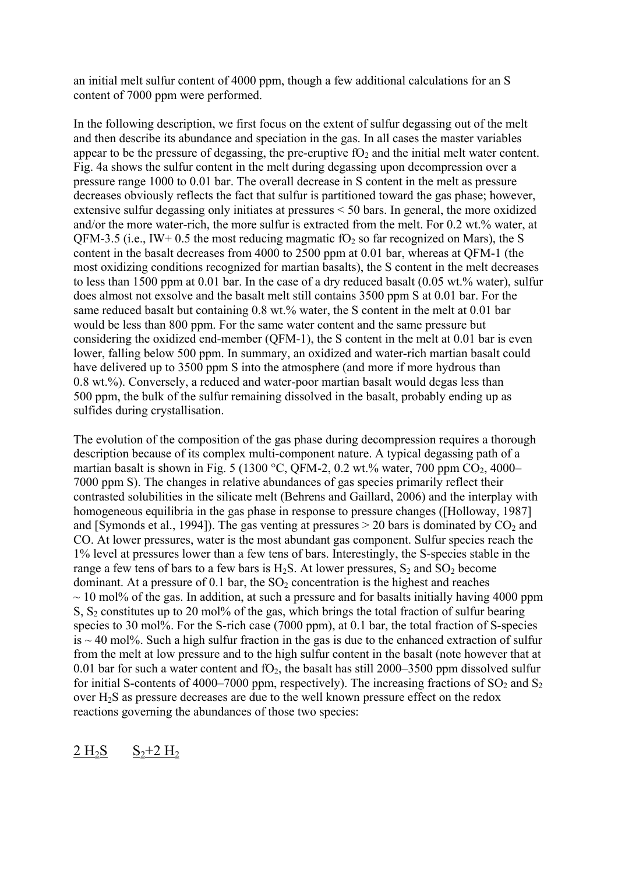an initial melt sulfur content of 4000 ppm, though a few additional calculations for an S content of 7000 ppm were performed.

In the following description, we first focus on the extent of sulfur degassing out of the melt and then describe its abundance and speciation in the gas. In all cases the master variables appear to be the pressure of degassing, the pre-eruptive  $fO<sub>2</sub>$  and the initial melt water content. Fig. 4a shows the sulfur content in the melt during degassing upon decompression over a pressure range 1000 to 0.01 bar. The overall decrease in S content in the melt as pressure decreases obviously reflects the fact that sulfur is partitioned toward the gas phase; however, extensive sulfur degassing only initiates at pressures < 50 bars. In general, the more oxidized and/or the more water-rich, the more sulfur is extracted from the melt. For 0.2 wt.% water, at QFM-3.5 (i.e., IW+ 0.5 the most reducing magmatic  $fO<sub>2</sub>$  so far recognized on Mars), the S content in the basalt decreases from 4000 to 2500 ppm at 0.01 bar, whereas at QFM-1 (the most oxidizing conditions recognized for martian basalts), the S content in the melt decreases to less than 1500 ppm at 0.01 bar. In the case of a dry reduced basalt (0.05 wt.% water), sulfur does almost not exsolve and the basalt melt still contains 3500 ppm S at 0.01 bar. For the same reduced basalt but containing 0.8 wt.% water, the S content in the melt at 0.01 bar would be less than 800 ppm. For the same water content and the same pressure but considering the oxidized end-member (QFM-1), the S content in the melt at 0.01 bar is even lower, falling below 500 ppm. In summary, an oxidized and water-rich martian basalt could have delivered up to 3500 ppm S into the atmosphere (and more if more hydrous than 0.8 wt.%). Conversely, a reduced and water-poor martian basalt would degas less than 500 ppm, the bulk of the sulfur remaining dissolved in the basalt, probably ending up as sulfides during crystallisation.

The evolution of the composition of the gas phase during decompression requires a thorough description because of its complex multi-component nature. A typical degassing path of a martian basalt is shown in Fig. 5 (1300 °C, QFM-2, 0.2 wt.% water, 700 ppm  $CO<sub>2</sub>$ , 4000– 7000 ppm S). The changes in relative abundances of gas species primarily reflect their contrasted solubilities in the silicate melt (Behrens and Gaillard, 2006) and the interplay with homogeneous equilibria in the gas phase in response to pressure changes ([Holloway, 1987] and [Symonds et al., 1994]). The gas venting at pressures  $> 20$  bars is dominated by  $CO<sub>2</sub>$  and CO. At lower pressures, water is the most abundant gas component. Sulfur species reach the 1% level at pressures lower than a few tens of bars. Interestingly, the S-species stable in the range a few tens of bars to a few bars is  $H_2S$ . At lower pressures,  $S_2$  and  $SO_2$  become dominant. At a pressure of  $0.1$  bar, the  $SO<sub>2</sub>$  concentration is the highest and reaches  $\sim$  10 mol% of the gas. In addition, at such a pressure and for basalts initially having 4000 ppm S,  $S_2$  constitutes up to 20 mol% of the gas, which brings the total fraction of sulfur bearing species to 30 mol%. For the S-rich case (7000 ppm), at 0.1 bar, the total fraction of S-species  $is \sim 40$  mol%. Such a high sulfur fraction in the gas is due to the enhanced extraction of sulfur from the melt at low pressure and to the high sulfur content in the basalt (note however that at 0.01 bar for such a water content and  $fO<sub>2</sub>$ , the basalt has still 2000–3500 ppm dissolved sulfur for initial S-contents of 4000–7000 ppm, respectively). The increasing fractions of  $SO_2$  and  $S_2$ over H2S as pressure decreases are due to the well known pressure effect on the redox reactions governing the abundances of those two species:

## $2 H_2S$   $S_2+2 H_2$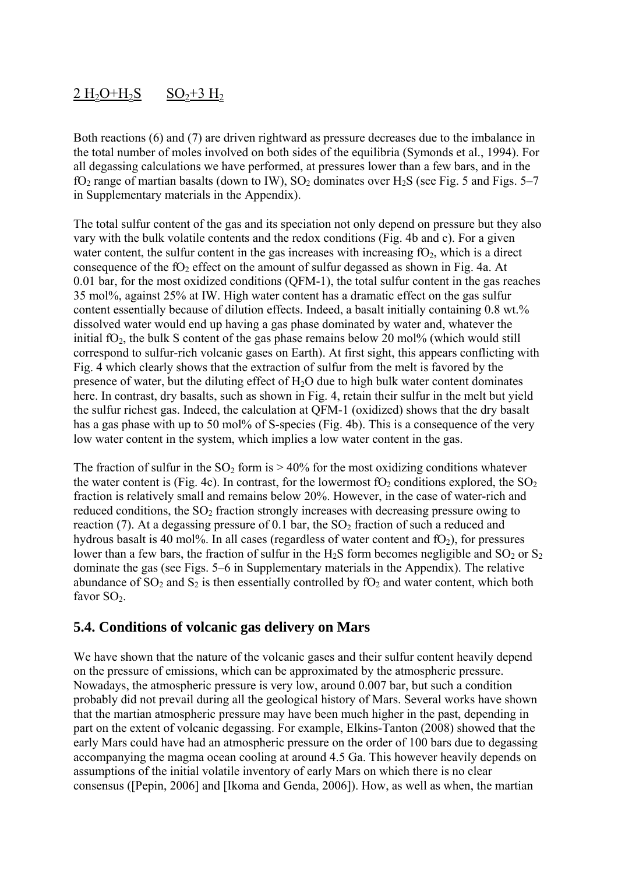# $2 \text{ H}_2\text{O} + \text{H}_2\text{S}$   $\text{SO}_2 + 3 \text{ H}_2$

Both reactions (6) and (7) are driven rightward as pressure decreases due to the imbalance in the total number of moles involved on both sides of the equilibria (Symonds et al., 1994). For all degassing calculations we have performed, at pressures lower than a few bars, and in the fO<sub>2</sub> range of martian basalts (down to IW), SO<sub>2</sub> dominates over H<sub>2</sub>S (see Fig. 5 and Figs. 5–7 in Supplementary materials in the Appendix).

The total sulfur content of the gas and its speciation not only depend on pressure but they also vary with the bulk volatile contents and the redox conditions (Fig. 4b and c). For a given water content, the sulfur content in the gas increases with increasing  $fO_2$ , which is a direct consequence of the fO<sub>2</sub> effect on the amount of sulfur degassed as shown in Fig. 4a. At 0.01 bar, for the most oxidized conditions (QFM-1), the total sulfur content in the gas reaches 35 mol%, against 25% at IW. High water content has a dramatic effect on the gas sulfur content essentially because of dilution effects. Indeed, a basalt initially containing 0.8 wt.% dissolved water would end up having a gas phase dominated by water and, whatever the initial  $fO_2$ , the bulk S content of the gas phase remains below 20 mol% (which would still correspond to sulfur-rich volcanic gases on Earth). At first sight, this appears conflicting with Fig. 4 which clearly shows that the extraction of sulfur from the melt is favored by the presence of water, but the diluting effect of  $H_2O$  due to high bulk water content dominates here. In contrast, dry basalts, such as shown in Fig. 4, retain their sulfur in the melt but yield the sulfur richest gas. Indeed, the calculation at QFM-1 (oxidized) shows that the dry basalt has a gas phase with up to 50 mol% of S-species (Fig. 4b). This is a consequence of the very low water content in the system, which implies a low water content in the gas.

The fraction of sulfur in the  $SO_2$  form is  $> 40\%$  for the most oxidizing conditions whatever the water content is (Fig. 4c). In contrast, for the lowermost fO<sub>2</sub> conditions explored, the  $SO_2$ fraction is relatively small and remains below 20%. However, in the case of water-rich and reduced conditions, the  $SO<sub>2</sub>$  fraction strongly increases with decreasing pressure owing to reaction (7). At a degassing pressure of 0.1 bar, the  $SO<sub>2</sub>$  fraction of such a reduced and hydrous basalt is 40 mol%. In all cases (regardless of water content and  $fO<sub>2</sub>$ ), for pressures lower than a few bars, the fraction of sulfur in the H<sub>2</sub>S form becomes negligible and  $SO_2$  or  $S_2$ dominate the gas (see Figs. 5–6 in Supplementary materials in the Appendix). The relative abundance of  $SO_2$  and  $S_2$  is then essentially controlled by  $fO_2$  and water content, which both favor  $SO<sub>2</sub>$ .

### **5.4. Conditions of volcanic gas delivery on Mars**

We have shown that the nature of the volcanic gases and their sulfur content heavily depend on the pressure of emissions, which can be approximated by the atmospheric pressure. Nowadays, the atmospheric pressure is very low, around 0.007 bar, but such a condition probably did not prevail during all the geological history of Mars. Several works have shown that the martian atmospheric pressure may have been much higher in the past, depending in part on the extent of volcanic degassing. For example, Elkins-Tanton (2008) showed that the early Mars could have had an atmospheric pressure on the order of 100 bars due to degassing accompanying the magma ocean cooling at around 4.5 Ga. This however heavily depends on assumptions of the initial volatile inventory of early Mars on which there is no clear consensus ([Pepin, 2006] and [Ikoma and Genda, 2006]). How, as well as when, the martian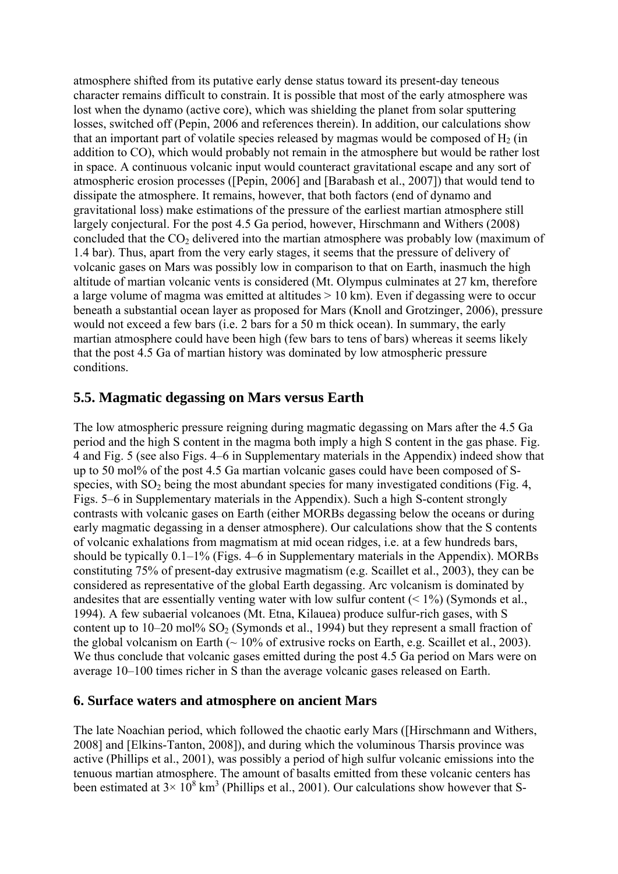atmosphere shifted from its putative early dense status toward its present-day teneous character remains difficult to constrain. It is possible that most of the early atmosphere was lost when the dynamo (active core), which was shielding the planet from solar sputtering losses, switched off (Pepin, 2006 and references therein). In addition, our calculations show that an important part of volatile species released by magmas would be composed of  $H_2$  (in addition to CO), which would probably not remain in the atmosphere but would be rather lost in space. A continuous volcanic input would counteract gravitational escape and any sort of atmospheric erosion processes ([Pepin, 2006] and [Barabash et al., 2007]) that would tend to dissipate the atmosphere. It remains, however, that both factors (end of dynamo and gravitational loss) make estimations of the pressure of the earliest martian atmosphere still largely conjectural. For the post 4.5 Ga period, however, Hirschmann and Withers (2008) concluded that the  $CO<sub>2</sub>$  delivered into the martian atmosphere was probably low (maximum of 1.4 bar). Thus, apart from the very early stages, it seems that the pressure of delivery of volcanic gases on Mars was possibly low in comparison to that on Earth, inasmuch the high altitude of martian volcanic vents is considered (Mt. Olympus culminates at 27 km, therefore a large volume of magma was emitted at altitudes > 10 km). Even if degassing were to occur beneath a substantial ocean layer as proposed for Mars (Knoll and Grotzinger, 2006), pressure would not exceed a few bars (i.e. 2 bars for a 50 m thick ocean). In summary, the early martian atmosphere could have been high (few bars to tens of bars) whereas it seems likely that the post 4.5 Ga of martian history was dominated by low atmospheric pressure conditions.

### **5.5. Magmatic degassing on Mars versus Earth**

The low atmospheric pressure reigning during magmatic degassing on Mars after the 4.5 Ga period and the high S content in the magma both imply a high S content in the gas phase. Fig. 4 and Fig. 5 (see also Figs. 4–6 in Supplementary materials in the Appendix) indeed show that up to 50 mol% of the post 4.5 Ga martian volcanic gases could have been composed of Sspecies, with  $SO<sub>2</sub>$  being the most abundant species for many investigated conditions (Fig. 4, Figs. 5–6 in Supplementary materials in the Appendix). Such a high S-content strongly contrasts with volcanic gases on Earth (either MORBs degassing below the oceans or during early magmatic degassing in a denser atmosphere). Our calculations show that the S contents of volcanic exhalations from magmatism at mid ocean ridges, i.e. at a few hundreds bars, should be typically 0.1–1% (Figs. 4–6 in Supplementary materials in the Appendix). MORBs constituting 75% of present-day extrusive magmatism (e.g. Scaillet et al., 2003), they can be considered as representative of the global Earth degassing. Arc volcanism is dominated by andesites that are essentially venting water with low sulfur content  $($  < 1%) (Symonds et al., 1994). A few subaerial volcanoes (Mt. Etna, Kilauea) produce sulfur-rich gases, with S content up to  $10-20$  mol%  $SO<sub>2</sub>$  (Symonds et al., 1994) but they represent a small fraction of the global volcanism on Earth  $($   $\sim$  10% of extrusive rocks on Earth, e.g. Scaillet et al., 2003). We thus conclude that volcanic gases emitted during the post 4.5 Ga period on Mars were on average 10–100 times richer in S than the average volcanic gases released on Earth.

#### **6. Surface waters and atmosphere on ancient Mars**

The late Noachian period, which followed the chaotic early Mars ([Hirschmann and Withers, 2008] and [Elkins-Tanton, 2008]), and during which the voluminous Tharsis province was active (Phillips et al., 2001), was possibly a period of high sulfur volcanic emissions into the tenuous martian atmosphere. The amount of basalts emitted from these volcanic centers has been estimated at  $3 \times 10^8$  km<sup>3</sup> (Phillips et al., 2001). Our calculations show however that S-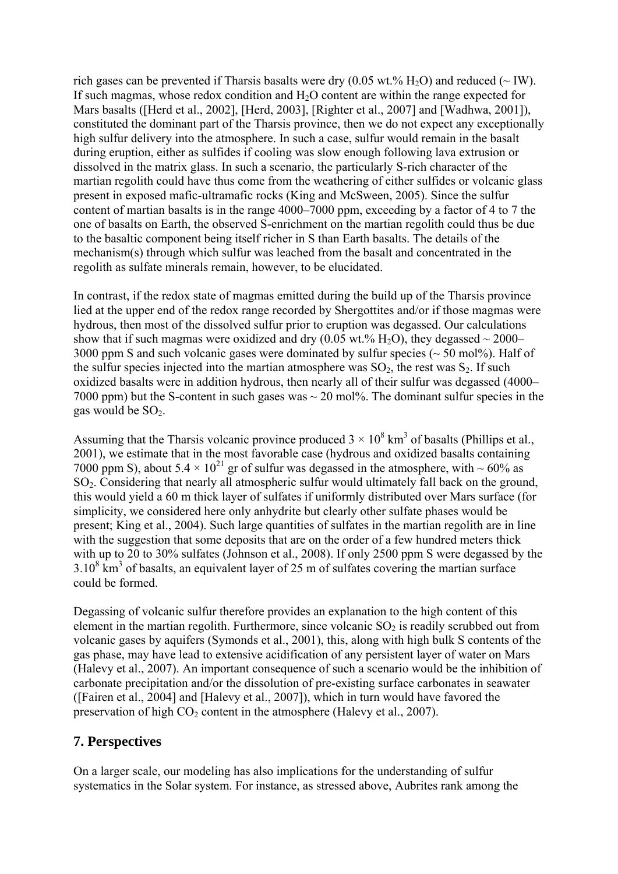rich gases can be prevented if Tharsis basalts were dry  $(0.05 \text{ wt.}\% \text{ H}_2\text{O})$  and reduced ( $\sim$  IW). If such magmas, whose redox condition and  $H<sub>2</sub>O$  content are within the range expected for Mars basalts ([Herd et al., 2002], [Herd, 2003], [Righter et al., 2007] and [Wadhwa, 2001]), constituted the dominant part of the Tharsis province, then we do not expect any exceptionally high sulfur delivery into the atmosphere. In such a case, sulfur would remain in the basalt during eruption, either as sulfides if cooling was slow enough following lava extrusion or dissolved in the matrix glass. In such a scenario, the particularly S-rich character of the martian regolith could have thus come from the weathering of either sulfides or volcanic glass present in exposed mafic-ultramafic rocks (King and McSween, 2005). Since the sulfur content of martian basalts is in the range 4000–7000 ppm, exceeding by a factor of 4 to 7 the one of basalts on Earth, the observed S-enrichment on the martian regolith could thus be due to the basaltic component being itself richer in S than Earth basalts. The details of the mechanism(s) through which sulfur was leached from the basalt and concentrated in the regolith as sulfate minerals remain, however, to be elucidated.

In contrast, if the redox state of magmas emitted during the build up of the Tharsis province lied at the upper end of the redox range recorded by Shergottites and/or if those magmas were hydrous, then most of the dissolved sulfur prior to eruption was degassed. Our calculations show that if such magmas were oxidized and dry (0.05 wt.%  $H_2O$ ), they degassed  $\sim$  2000– 3000 ppm S and such volcanic gases were dominated by sulfur species ( $\sim$  50 mol%). Half of the sulfur species injected into the martian atmosphere was  $SO_2$ , the rest was  $S_2$ . If such oxidized basalts were in addition hydrous, then nearly all of their sulfur was degassed (4000– 7000 ppm) but the S-content in such gases was  $\sim$  20 mol%. The dominant sulfur species in the gas would be  $SO<sub>2</sub>$ .

Assuming that the Tharsis volcanic province produced  $3 \times 10^8$  km<sup>3</sup> of basalts (Phillips et al., 2001), we estimate that in the most favorable case (hydrous and oxidized basalts containing 7000 ppm S), about  $5.4 \times 10^{21}$  gr of sulfur was degassed in the atmosphere, with  $\sim 60\%$  as SO2. Considering that nearly all atmospheric sulfur would ultimately fall back on the ground, this would yield a 60 m thick layer of sulfates if uniformly distributed over Mars surface (for simplicity, we considered here only anhydrite but clearly other sulfate phases would be present; King et al., 2004). Such large quantities of sulfates in the martian regolith are in line with the suggestion that some deposits that are on the order of a few hundred meters thick with up to 20 to 30% sulfates (Johnson et al., 2008). If only 2500 ppm S were degassed by the  $3.10<sup>8</sup>$  km<sup>3</sup> of basalts, an equivalent layer of 25 m of sulfates covering the martian surface could be formed.

Degassing of volcanic sulfur therefore provides an explanation to the high content of this element in the martian regolith. Furthermore, since volcanic  $SO<sub>2</sub>$  is readily scrubbed out from volcanic gases by aquifers (Symonds et al., 2001), this, along with high bulk S contents of the gas phase, may have lead to extensive acidification of any persistent layer of water on Mars (Halevy et al., 2007). An important consequence of such a scenario would be the inhibition of carbonate precipitation and/or the dissolution of pre-existing surface carbonates in seawater ([Fairen et al., 2004] and [Halevy et al., 2007]), which in turn would have favored the preservation of high  $CO<sub>2</sub>$  content in the atmosphere (Halevy et al., 2007).

### **7. Perspectives**

On a larger scale, our modeling has also implications for the understanding of sulfur systematics in the Solar system. For instance, as stressed above, Aubrites rank among the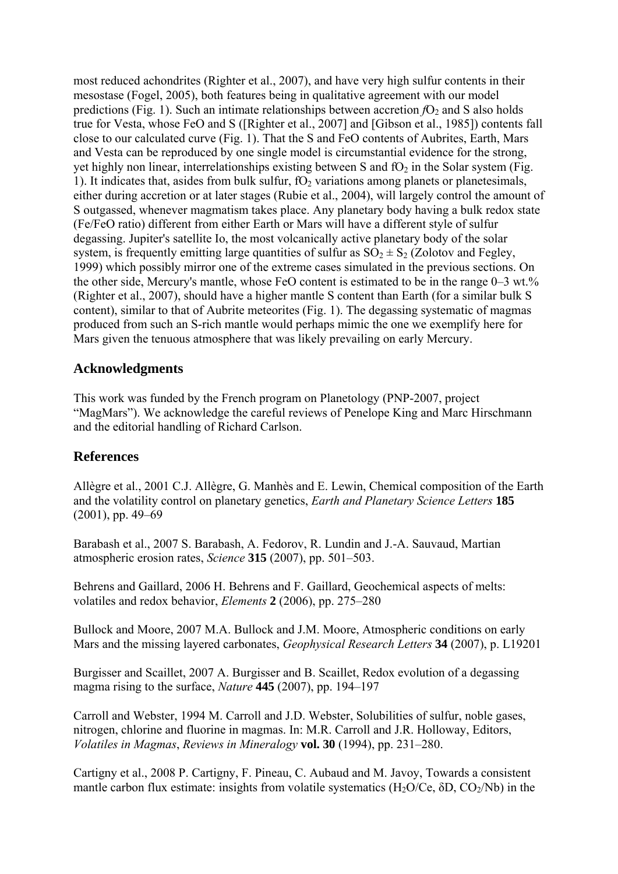most reduced achondrites (Righter et al., 2007), and have very high sulfur contents in their mesostase (Fogel, 2005), both features being in qualitative agreement with our model predictions (Fig. 1). Such an intimate relationships between accretion  $fO<sub>2</sub>$  and S also holds true for Vesta, whose FeO and S ([Righter et al., 2007] and [Gibson et al., 1985]) contents fall close to our calculated curve (Fig. 1). That the S and FeO contents of Aubrites, Earth, Mars and Vesta can be reproduced by one single model is circumstantial evidence for the strong, yet highly non linear, interrelationships existing between S and  $fO<sub>2</sub>$  in the Solar system (Fig. 1). It indicates that, asides from bulk sulfur,  $fO<sub>2</sub>$  variations among planets or planetesimals, either during accretion or at later stages (Rubie et al., 2004), will largely control the amount of S outgassed, whenever magmatism takes place. Any planetary body having a bulk redox state (Fe/FeO ratio) different from either Earth or Mars will have a different style of sulfur degassing. Jupiter's satellite Io, the most volcanically active planetary body of the solar system, is frequently emitting large quantities of sulfur as  $SO_2 \pm S_2$  (Zolotov and Fegley, 1999) which possibly mirror one of the extreme cases simulated in the previous sections. On the other side, Mercury's mantle, whose FeO content is estimated to be in the range 0–3 wt.% (Righter et al., 2007), should have a higher mantle S content than Earth (for a similar bulk S content), similar to that of Aubrite meteorites (Fig. 1). The degassing systematic of magmas produced from such an S-rich mantle would perhaps mimic the one we exemplify here for Mars given the tenuous atmosphere that was likely prevailing on early Mercury.

#### **Acknowledgments**

This work was funded by the French program on Planetology (PNP-2007, project "MagMars"). We acknowledge the careful reviews of Penelope King and Marc Hirschmann and the editorial handling of Richard Carlson.

#### **References**

Allègre et al., 2001 C.J. Allègre, G. Manhès and E. Lewin, Chemical composition of the Earth and the volatility control on planetary genetics, *Earth and Planetary Science Letters* **185** (2001), pp. 49–69

Barabash et al., 2007 S. Barabash, A. Fedorov, R. Lundin and J.-A. Sauvaud, Martian atmospheric erosion rates, *Science* **315** (2007), pp. 501–503.

Behrens and Gaillard, 2006 H. Behrens and F. Gaillard, Geochemical aspects of melts: volatiles and redox behavior, *Elements* **2** (2006), pp. 275–280

Bullock and Moore, 2007 M.A. Bullock and J.M. Moore, Atmospheric conditions on early Mars and the missing layered carbonates, *Geophysical Research Letters* **34** (2007), p. L19201

Burgisser and Scaillet, 2007 A. Burgisser and B. Scaillet, Redox evolution of a degassing magma rising to the surface, *Nature* **445** (2007), pp. 194–197

Carroll and Webster, 1994 M. Carroll and J.D. Webster, Solubilities of sulfur, noble gases, nitrogen, chlorine and fluorine in magmas. In: M.R. Carroll and J.R. Holloway, Editors, *Volatiles in Magmas*, *Reviews in Mineralogy* **vol. 30** (1994), pp. 231–280.

Cartigny et al., 2008 P. Cartigny, F. Pineau, C. Aubaud and M. Javoy, Towards a consistent mantle carbon flux estimate: insights from volatile systematics  $(H_2O/Ce, \delta D, CO_2/Nb)$  in the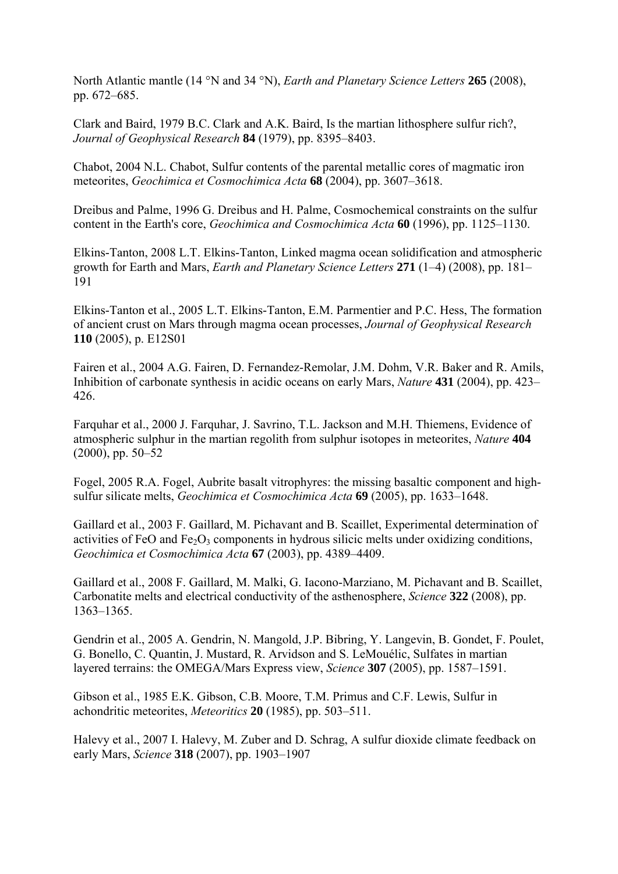North Atlantic mantle (14 °N and 34 °N), *Earth and Planetary Science Letters* **265** (2008), pp. 672–685.

Clark and Baird, 1979 B.C. Clark and A.K. Baird, Is the martian lithosphere sulfur rich?, *Journal of Geophysical Research* **84** (1979), pp. 8395–8403.

Chabot, 2004 N.L. Chabot, Sulfur contents of the parental metallic cores of magmatic iron meteorites, *Geochimica et Cosmochimica Acta* **68** (2004), pp. 3607–3618.

Dreibus and Palme, 1996 G. Dreibus and H. Palme, Cosmochemical constraints on the sulfur content in the Earth's core, *Geochimica and Cosmochimica Acta* **60** (1996), pp. 1125–1130.

Elkins-Tanton, 2008 L.T. Elkins-Tanton, Linked magma ocean solidification and atmospheric growth for Earth and Mars, *Earth and Planetary Science Letters* **271** (1–4) (2008), pp. 181– 191

Elkins-Tanton et al., 2005 L.T. Elkins-Tanton, E.M. Parmentier and P.C. Hess, The formation of ancient crust on Mars through magma ocean processes, *Journal of Geophysical Research* **110** (2005), p. E12S01

Fairen et al., 2004 A.G. Fairen, D. Fernandez-Remolar, J.M. Dohm, V.R. Baker and R. Amils, Inhibition of carbonate synthesis in acidic oceans on early Mars, *Nature* **431** (2004), pp. 423– 426.

Farquhar et al., 2000 J. Farquhar, J. Savrino, T.L. Jackson and M.H. Thiemens, Evidence of atmospheric sulphur in the martian regolith from sulphur isotopes in meteorites, *Nature* **404** (2000), pp. 50–52

Fogel, 2005 R.A. Fogel, Aubrite basalt vitrophyres: the missing basaltic component and highsulfur silicate melts, *Geochimica et Cosmochimica Acta* **69** (2005), pp. 1633–1648.

Gaillard et al., 2003 F. Gaillard, M. Pichavant and B. Scaillet, Experimental determination of activities of FeO and  $Fe<sub>2</sub>O<sub>3</sub>$  components in hydrous silicic melts under oxidizing conditions, *Geochimica et Cosmochimica Acta* **67** (2003), pp. 4389–4409.

Gaillard et al., 2008 F. Gaillard, M. Malki, G. Iacono-Marziano, M. Pichavant and B. Scaillet, Carbonatite melts and electrical conductivity of the asthenosphere, *Science* **322** (2008), pp. 1363–1365.

Gendrin et al., 2005 A. Gendrin, N. Mangold, J.P. Bibring, Y. Langevin, B. Gondet, F. Poulet, G. Bonello, C. Quantin, J. Mustard, R. Arvidson and S. LeMouélic, Sulfates in martian layered terrains: the OMEGA/Mars Express view, *Science* **307** (2005), pp. 1587–1591.

Gibson et al., 1985 E.K. Gibson, C.B. Moore, T.M. Primus and C.F. Lewis, Sulfur in achondritic meteorites, *Meteoritics* **20** (1985), pp. 503–511.

Halevy et al., 2007 I. Halevy, M. Zuber and D. Schrag, A sulfur dioxide climate feedback on early Mars, *Science* **318** (2007), pp. 1903–1907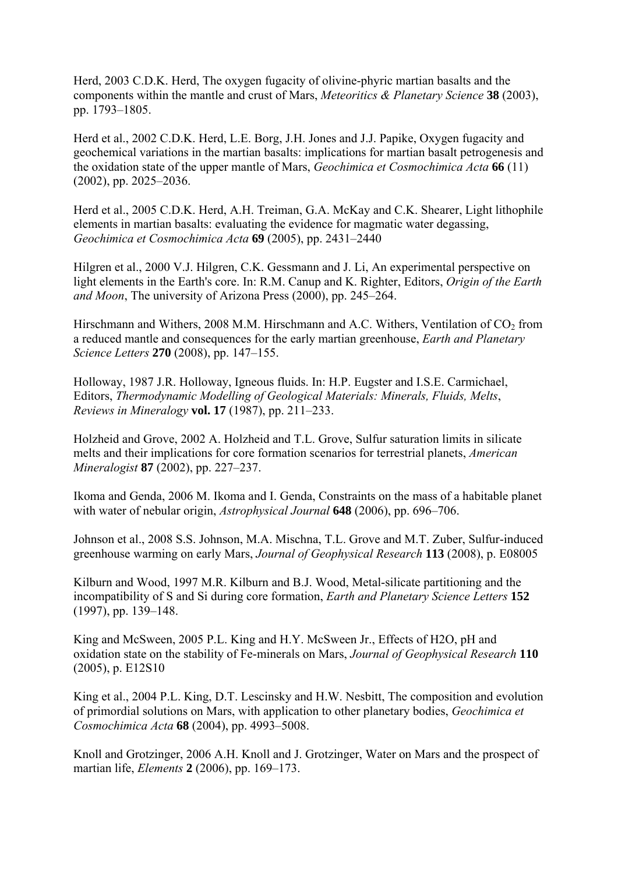Herd, 2003 C.D.K. Herd, The oxygen fugacity of olivine-phyric martian basalts and the components within the mantle and crust of Mars, *Meteoritics & Planetary Science* **38** (2003), pp. 1793–1805.

Herd et al., 2002 C.D.K. Herd, L.E. Borg, J.H. Jones and J.J. Papike, Oxygen fugacity and geochemical variations in the martian basalts: implications for martian basalt petrogenesis and the oxidation state of the upper mantle of Mars, *Geochimica et Cosmochimica Acta* **66** (11) (2002), pp. 2025–2036.

Herd et al., 2005 C.D.K. Herd, A.H. Treiman, G.A. McKay and C.K. Shearer, Light lithophile elements in martian basalts: evaluating the evidence for magmatic water degassing, *Geochimica et Cosmochimica Acta* **69** (2005), pp. 2431–2440

Hilgren et al., 2000 V.J. Hilgren, C.K. Gessmann and J. Li, An experimental perspective on light elements in the Earth's core. In: R.M. Canup and K. Righter, Editors, *Origin of the Earth and Moon*, The university of Arizona Press (2000), pp. 245–264.

Hirschmann and Withers, 2008 M.M. Hirschmann and A.C. Withers, Ventilation of  $CO<sub>2</sub>$  from a reduced mantle and consequences for the early martian greenhouse, *Earth and Planetary Science Letters* **270** (2008), pp. 147–155.

Holloway, 1987 J.R. Holloway, Igneous fluids. In: H.P. Eugster and I.S.E. Carmichael, Editors, *Thermodynamic Modelling of Geological Materials: Minerals, Fluids, Melts*, *Reviews in Mineralogy* **vol. 17** (1987), pp. 211–233.

Holzheid and Grove, 2002 A. Holzheid and T.L. Grove, Sulfur saturation limits in silicate melts and their implications for core formation scenarios for terrestrial planets, *American Mineralogist* **87** (2002), pp. 227–237.

Ikoma and Genda, 2006 M. Ikoma and I. Genda, Constraints on the mass of a habitable planet with water of nebular origin, *Astrophysical Journal* **648** (2006), pp. 696–706.

Johnson et al., 2008 S.S. Johnson, M.A. Mischna, T.L. Grove and M.T. Zuber, Sulfur-induced greenhouse warming on early Mars, *Journal of Geophysical Research* **113** (2008), p. E08005

Kilburn and Wood, 1997 M.R. Kilburn and B.J. Wood, Metal-silicate partitioning and the incompatibility of S and Si during core formation, *Earth and Planetary Science Letters* **152** (1997), pp. 139–148.

King and McSween, 2005 P.L. King and H.Y. McSween Jr., Effects of H2O, pH and oxidation state on the stability of Fe-minerals on Mars, *Journal of Geophysical Research* **110** (2005), p. E12S10

King et al., 2004 P.L. King, D.T. Lescinsky and H.W. Nesbitt, The composition and evolution of primordial solutions on Mars, with application to other planetary bodies, *Geochimica et Cosmochimica Acta* **68** (2004), pp. 4993–5008.

Knoll and Grotzinger, 2006 A.H. Knoll and J. Grotzinger, Water on Mars and the prospect of martian life, *Elements* **2** (2006), pp. 169–173.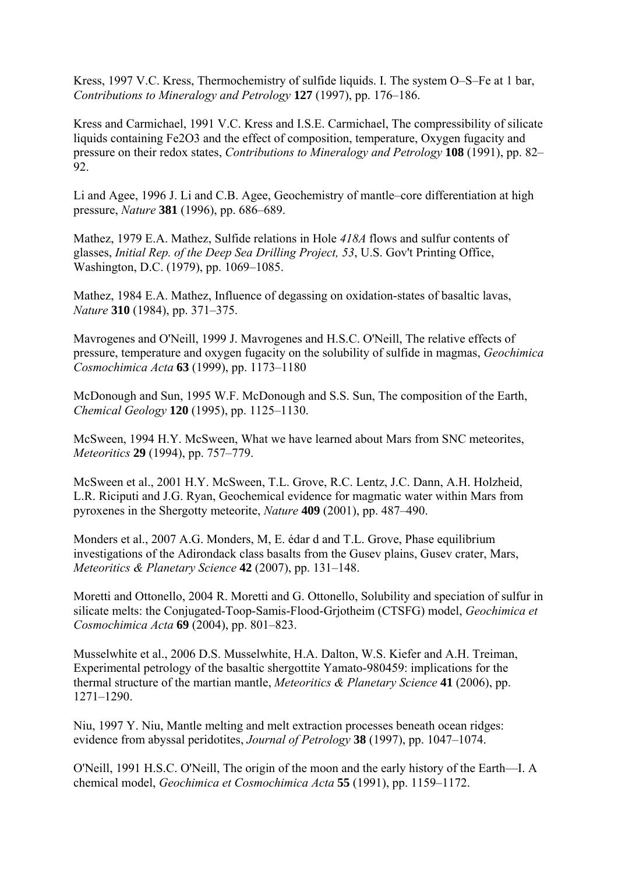Kress, 1997 V.C. Kress, Thermochemistry of sulfide liquids. I. The system O–S–Fe at 1 bar, *Contributions to Mineralogy and Petrology* **127** (1997), pp. 176–186.

Kress and Carmichael, 1991 V.C. Kress and I.S.E. Carmichael, The compressibility of silicate liquids containing Fe2O3 and the effect of composition, temperature, Oxygen fugacity and pressure on their redox states, *Contributions to Mineralogy and Petrology* **108** (1991), pp. 82– 92.

Li and Agee, 1996 J. Li and C.B. Agee, Geochemistry of mantle–core differentiation at high pressure, *Nature* **381** (1996), pp. 686–689.

Mathez, 1979 E.A. Mathez, Sulfide relations in Hole *418A* flows and sulfur contents of glasses, *Initial Rep. of the Deep Sea Drilling Project, 53*, U.S. Gov't Printing Office, Washington, D.C. (1979), pp. 1069–1085.

Mathez, 1984 E.A. Mathez, Influence of degassing on oxidation-states of basaltic lavas, *Nature* **310** (1984), pp. 371–375.

Mavrogenes and O'Neill, 1999 J. Mavrogenes and H.S.C. O'Neill, The relative effects of pressure, temperature and oxygen fugacity on the solubility of sulfide in magmas, *Geochimica Cosmochimica Acta* **63** (1999), pp. 1173–1180

McDonough and Sun, 1995 W.F. McDonough and S.S. Sun, The composition of the Earth, *Chemical Geology* **120** (1995), pp. 1125–1130.

McSween, 1994 H.Y. McSween, What we have learned about Mars from SNC meteorites, *Meteoritics* **29** (1994), pp. 757–779.

McSween et al., 2001 H.Y. McSween, T.L. Grove, R.C. Lentz, J.C. Dann, A.H. Holzheid, L.R. Riciputi and J.G. Ryan, Geochemical evidence for magmatic water within Mars from pyroxenes in the Shergotty meteorite, *Nature* **409** (2001), pp. 487–490.

Monders et al., 2007 A.G. Monders, M, E. édar d and T.L. Grove, Phase equilibrium investigations of the Adirondack class basalts from the Gusev plains, Gusev crater, Mars, *Meteoritics & Planetary Science* **42** (2007), pp. 131–148.

Moretti and Ottonello, 2004 R. Moretti and G. Ottonello, Solubility and speciation of sulfur in silicate melts: the Conjugated-Toop-Samis-Flood-Grjotheim (CTSFG) model, *Geochimica et Cosmochimica Acta* **69** (2004), pp. 801–823.

Musselwhite et al., 2006 D.S. Musselwhite, H.A. Dalton, W.S. Kiefer and A.H. Treiman, Experimental petrology of the basaltic shergottite Yamato-980459: implications for the thermal structure of the martian mantle, *Meteoritics & Planetary Science* **41** (2006), pp. 1271–1290.

Niu, 1997 Y. Niu, Mantle melting and melt extraction processes beneath ocean ridges: evidence from abyssal peridotites, *Journal of Petrology* **38** (1997), pp. 1047–1074.

O'Neill, 1991 H.S.C. O'Neill, The origin of the moon and the early history of the Earth—I. A chemical model, *Geochimica et Cosmochimica Acta* **55** (1991), pp. 1159–1172.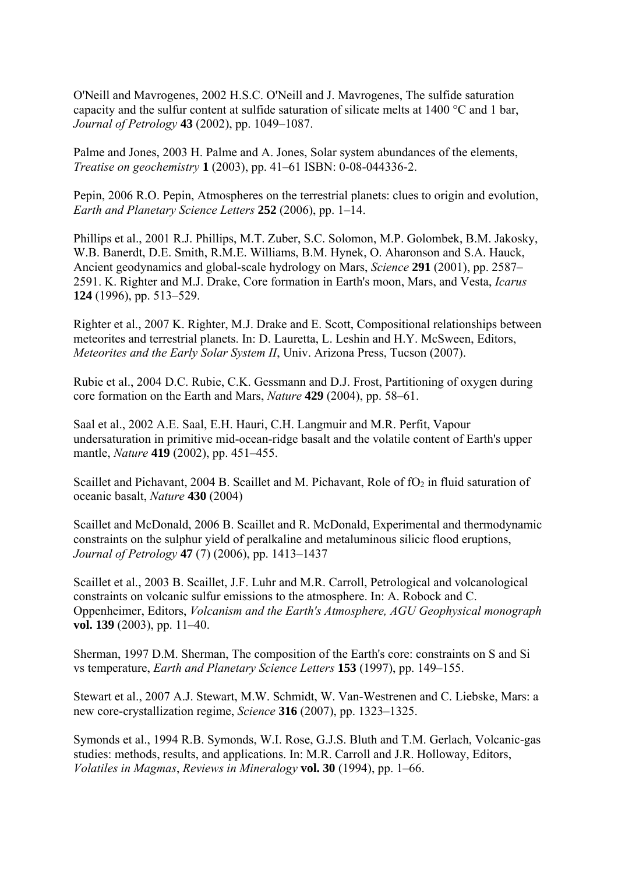O'Neill and Mavrogenes, 2002 H.S.C. O'Neill and J. Mavrogenes, The sulfide saturation capacity and the sulfur content at sulfide saturation of silicate melts at 1400 °C and 1 bar, *Journal of Petrology* **43** (2002), pp. 1049–1087.

Palme and Jones, 2003 H. Palme and A. Jones, Solar system abundances of the elements, *Treatise on geochemistry* **1** (2003), pp. 41–61 ISBN: 0-08-044336-2.

Pepin, 2006 R.O. Pepin, Atmospheres on the terrestrial planets: clues to origin and evolution, *Earth and Planetary Science Letters* **252** (2006), pp. 1–14.

Phillips et al., 2001 R.J. Phillips, M.T. Zuber, S.C. Solomon, M.P. Golombek, B.M. Jakosky, W.B. Banerdt, D.E. Smith, R.M.E. Williams, B.M. Hynek, O. Aharonson and S.A. Hauck, Ancient geodynamics and global-scale hydrology on Mars, *Science* **291** (2001), pp. 2587– 2591. K. Righter and M.J. Drake, Core formation in Earth's moon, Mars, and Vesta, *Icarus* **124** (1996), pp. 513–529.

Righter et al., 2007 K. Righter, M.J. Drake and E. Scott, Compositional relationships between meteorites and terrestrial planets. In: D. Lauretta, L. Leshin and H.Y. McSween, Editors, *Meteorites and the Early Solar System II*, Univ. Arizona Press, Tucson (2007).

Rubie et al., 2004 D.C. Rubie, C.K. Gessmann and D.J. Frost, Partitioning of oxygen during core formation on the Earth and Mars, *Nature* **429** (2004), pp. 58–61.

Saal et al., 2002 A.E. Saal, E.H. Hauri, C.H. Langmuir and M.R. Perfit, Vapour undersaturation in primitive mid-ocean-ridge basalt and the volatile content of Earth's upper mantle, *Nature* **419** (2002), pp. 451–455.

Scaillet and Pichavant, 2004 B. Scaillet and M. Pichavant, Role of  $fO<sub>2</sub>$  in fluid saturation of oceanic basalt, *Nature* **430** (2004)

Scaillet and McDonald, 2006 B. Scaillet and R. McDonald, Experimental and thermodynamic constraints on the sulphur yield of peralkaline and metaluminous silicic flood eruptions, *Journal of Petrology* **47** (7) (2006), pp. 1413–1437

Scaillet et al., 2003 B. Scaillet, J.F. Luhr and M.R. Carroll, Petrological and volcanological constraints on volcanic sulfur emissions to the atmosphere. In: A. Robock and C. Oppenheimer, Editors, *Volcanism and the Earth's Atmosphere, AGU Geophysical monograph* **vol. 139** (2003), pp. 11–40.

Sherman, 1997 D.M. Sherman, The composition of the Earth's core: constraints on S and Si vs temperature, *Earth and Planetary Science Letters* **153** (1997), pp. 149–155.

Stewart et al., 2007 A.J. Stewart, M.W. Schmidt, W. Van-Westrenen and C. Liebske, Mars: a new core-crystallization regime, *Science* **316** (2007), pp. 1323–1325.

Symonds et al., 1994 R.B. Symonds, W.I. Rose, G.J.S. Bluth and T.M. Gerlach, Volcanic-gas studies: methods, results, and applications. In: M.R. Carroll and J.R. Holloway, Editors, *Volatiles in Magmas*, *Reviews in Mineralogy* **vol. 30** (1994), pp. 1–66.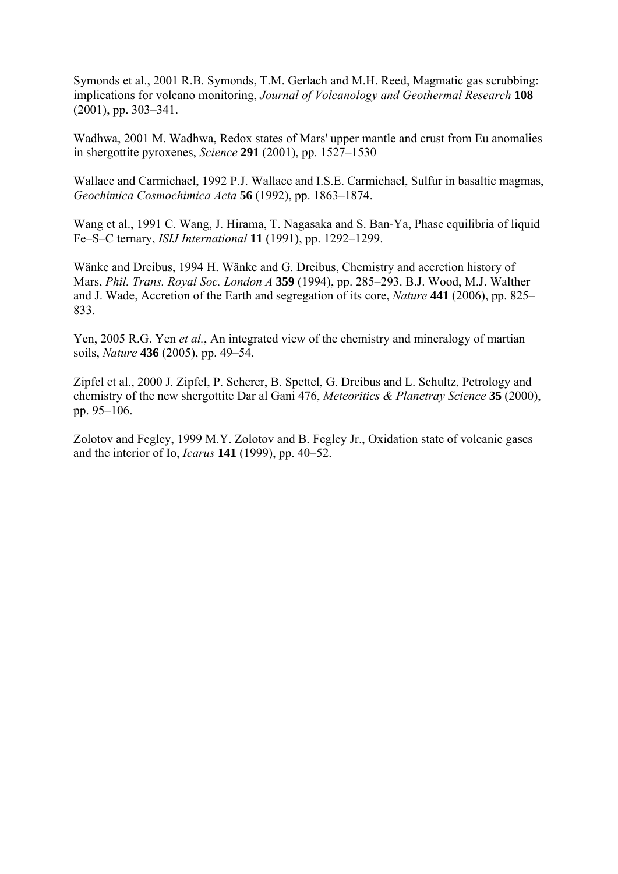Symonds et al., 2001 R.B. Symonds, T.M. Gerlach and M.H. Reed, Magmatic gas scrubbing: implications for volcano monitoring, *Journal of Volcanology and Geothermal Research* **108** (2001), pp. 303–341.

Wadhwa, 2001 M. Wadhwa, Redox states of Mars' upper mantle and crust from Eu anomalies in shergottite pyroxenes, *Science* **291** (2001), pp. 1527–1530

Wallace and Carmichael, 1992 P.J. Wallace and I.S.E. Carmichael, Sulfur in basaltic magmas, *Geochimica Cosmochimica Acta* **56** (1992), pp. 1863–1874.

Wang et al., 1991 C. Wang, J. Hirama, T. Nagasaka and S. Ban-Ya, Phase equilibria of liquid Fe–S–C ternary, *ISIJ International* **11** (1991), pp. 1292–1299.

Wänke and Dreibus, 1994 H. Wänke and G. Dreibus, Chemistry and accretion history of Mars, *Phil. Trans. Royal Soc. London A* **359** (1994), pp. 285–293. B.J. Wood, M.J. Walther and J. Wade, Accretion of the Earth and segregation of its core, *Nature* **441** (2006), pp. 825– 833.

Yen, 2005 R.G. Yen *et al.*, An integrated view of the chemistry and mineralogy of martian soils, *Nature* **436** (2005), pp. 49–54.

Zipfel et al., 2000 J. Zipfel, P. Scherer, B. Spettel, G. Dreibus and L. Schultz, Petrology and chemistry of the new shergottite Dar al Gani 476, *Meteoritics & Planetray Science* **35** (2000), pp. 95–106.

Zolotov and Fegley, 1999 M.Y. Zolotov and B. Fegley Jr., Oxidation state of volcanic gases and the interior of Io, *Icarus* **141** (1999), pp. 40–52.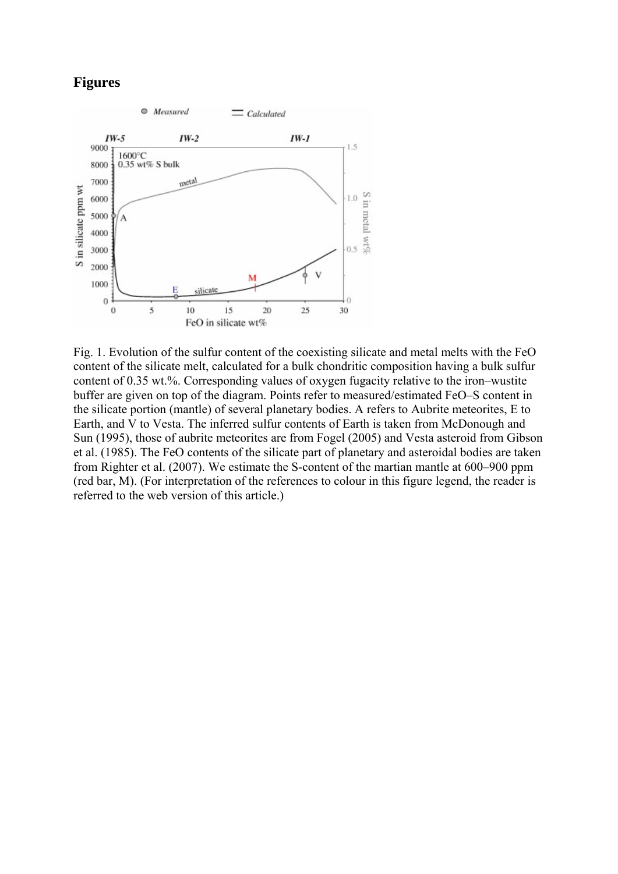### **Figures**



Fig. 1. Evolution of the sulfur content of the coexisting silicate and metal melts with the FeO content of the silicate melt, calculated for a bulk chondritic composition having a bulk sulfur content of 0.35 wt.%. Corresponding values of oxygen fugacity relative to the iron–wustite buffer are given on top of the diagram. Points refer to measured/estimated FeO–S content in the silicate portion (mantle) of several planetary bodies. A refers to Aubrite meteorites, E to Earth, and V to Vesta. The inferred sulfur contents of Earth is taken from McDonough and Sun (1995), those of aubrite meteorites are from Fogel (2005) and Vesta asteroid from Gibson et al. (1985). The FeO contents of the silicate part of planetary and asteroidal bodies are taken from Righter et al. (2007). We estimate the S-content of the martian mantle at 600–900 ppm (red bar, M). (For interpretation of the references to colour in this figure legend, the reader is referred to the web version of this article.)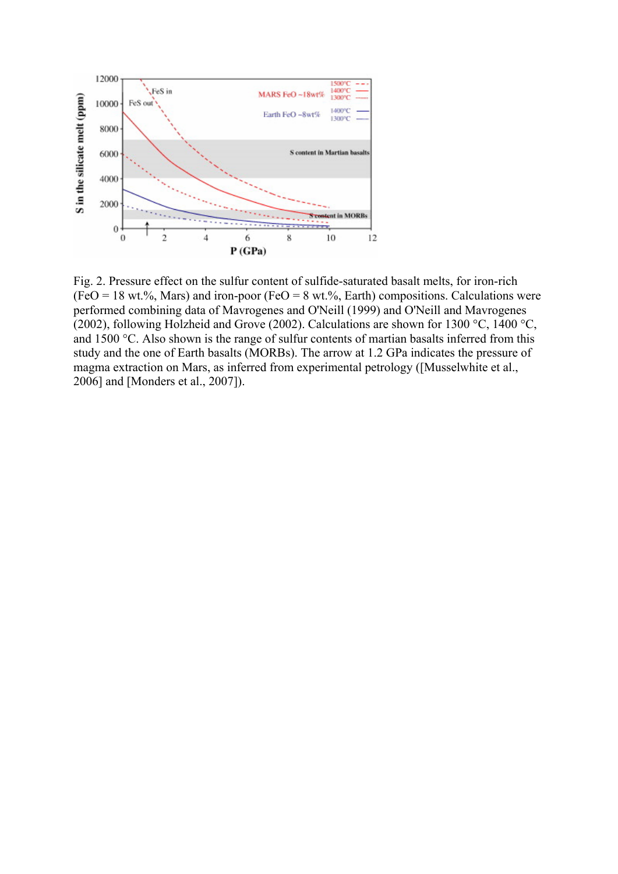

Fig. 2. Pressure effect on the sulfur content of sulfide-saturated basalt melts, for iron-rich  $(FeO = 18 \text{ wt.}\%$ , Mars) and iron-poor  $(FeO = 8 \text{ wt.}\%$ , Earth) compositions. Calculations were performed combining data of Mavrogenes and O'Neill (1999) and O'Neill and Mavrogenes (2002), following Holzheid and Grove (2002). Calculations are shown for 1300 °C, 1400 °C, and 1500 °C. Also shown is the range of sulfur contents of martian basalts inferred from this study and the one of Earth basalts (MORBs). The arrow at 1.2 GPa indicates the pressure of magma extraction on Mars, as inferred from experimental petrology ([Musselwhite et al., 2006] and [Monders et al., 2007]).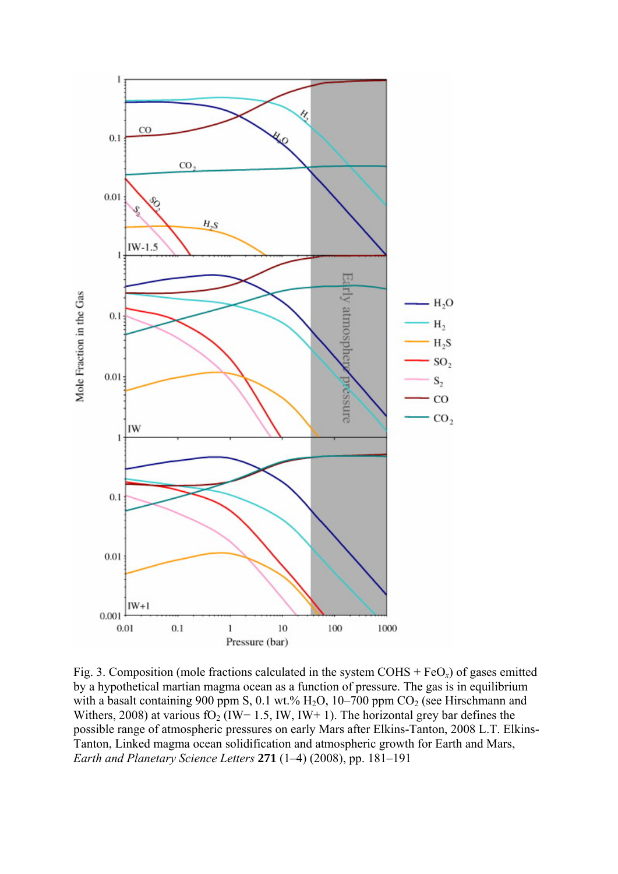

Fig. 3. Composition (mole fractions calculated in the system  $COHS + FeO<sub>x</sub>$ ) of gases emitted by a hypothetical martian magma ocean as a function of pressure. The gas is in equilibrium with a basalt containing 900 ppm S, 0.1 wt.%  $H_2O$ , 10–700 ppm  $CO_2$  (see Hirschmann and Withers, 2008) at various fO<sub>2</sub> (IW− 1.5, IW, IW+ 1). The horizontal grey bar defines the possible range of atmospheric pressures on early Mars after Elkins-Tanton, 2008 L.T. Elkins-Tanton, Linked magma ocean solidification and atmospheric growth for Earth and Mars, *Earth and Planetary Science Letters* **271** (1–4) (2008), pp. 181–191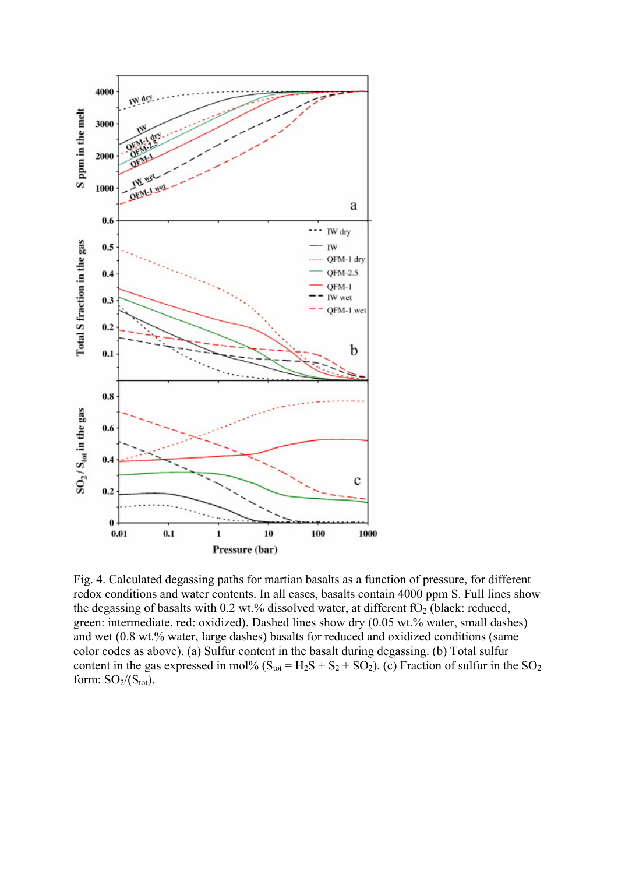

Fig. 4. Calculated degassing paths for martian basalts as a function of pressure, for different redox conditions and water contents. In all cases, basalts contain 4000 ppm S. Full lines show the degassing of basalts with 0.2 wt.% dissolved water, at different  $fO<sub>2</sub>$  (black: reduced, green: intermediate, red: oxidized). Dashed lines show dry (0.05 wt.% water, small dashes) and wet (0.8 wt.% water, large dashes) basalts for reduced and oxidized conditions (same color codes as above). (a) Sulfur content in the basalt during degassing. (b) Total sulfur content in the gas expressed in mol%  $(S_{tot} = H_2S + S_2 + SO_2)$ . (c) Fraction of sulfur in the SO<sub>2</sub> form:  $SO_2/(S_{tot})$ .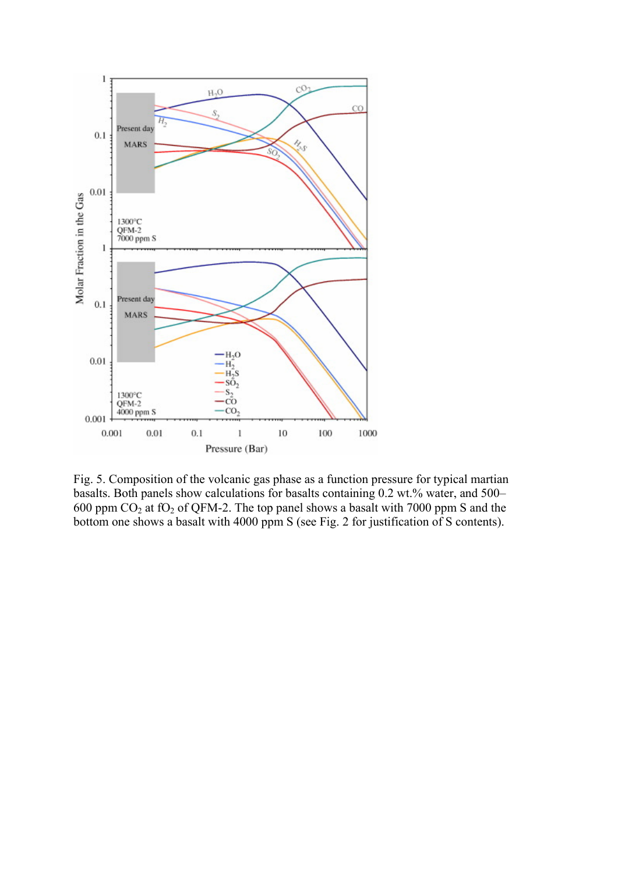

Fig. 5. Composition of the volcanic gas phase as a function pressure for typical martian basalts. Both panels show calculations for basalts containing 0.2 wt.% water, and 500– 600 ppm  $CO<sub>2</sub>$  at fO<sub>2</sub> of QFM-2. The top panel shows a basalt with 7000 ppm S and the bottom one shows a basalt with 4000 ppm S (see Fig. 2 for justification of S contents).